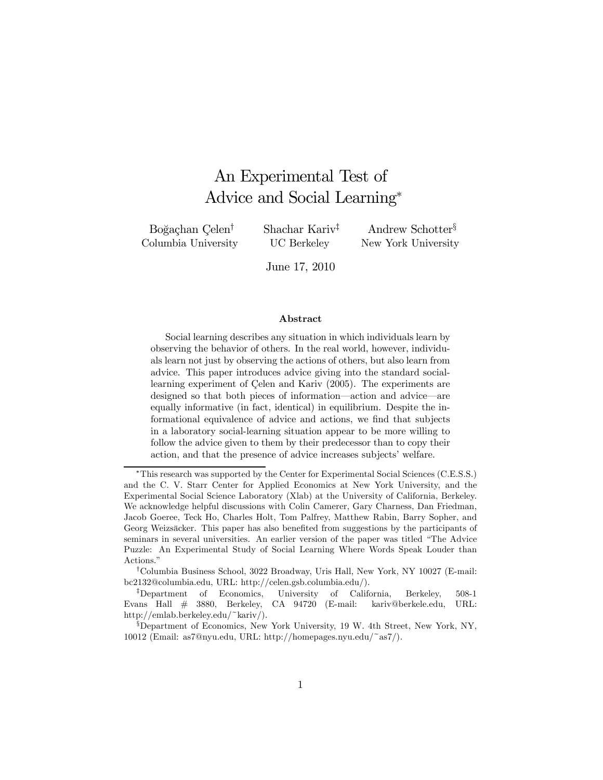# An Experimental Test of Advice and Social Learning<sup>∗</sup>

Boğaçhan Çelen<sup>†</sup> Columbia University Shachar Kariv‡ UC Berkeley

Andrew Schotter§ New York University

June 17, 2010

#### Abstract

Social learning describes any situation in which individuals learn by observing the behavior of others. In the real world, however, individuals learn not just by observing the actions of others, but also learn from advice. This paper introduces advice giving into the standard sociallearning experiment of Çelen and Kariv (2005). The experiments are designed so that both pieces of information–action and advice–are equally informative (in fact, identical) in equilibrium. Despite the informational equivalence of advice and actions, we find that subjects in a laboratory social-learning situation appear to be more willing to follow the advice given to them by their predecessor than to copy their action, and that the presence of advice increases subjects' welfare.

<sup>∗</sup>This research was supported by the Center for Experimental Social Sciences (C.E.S.S.) and the C. V. Starr Center for Applied Economics at New York University, and the Experimental Social Science Laboratory (Xlab) at the University of California, Berkeley. We acknowledge helpful discussions with Colin Camerer, Gary Charness, Dan Friedman, Jacob Goeree, Teck Ho, Charles Holt, Tom Palfrey, Matthew Rabin, Barry Sopher, and Georg Weizsäcker. This paper has also benefited from suggestions by the participants of seminars in several universities. An earlier version of the paper was titled "The Advice Puzzle: An Experimental Study of Social Learning Where Words Speak Louder than Actions."

<sup>†</sup>Columbia Business School, 3022 Broadway, Uris Hall, New York, NY 10027 (E-mail: bc2132@columbia.edu, URL: http://celen.gsb.columbia.edu/).

<sup>‡</sup>Department of Economics, University of California, Berkeley, 508-1 Evans Hall # 3880, Berkeley, CA 94720 (E-mail: kariv@berkele.edu, URL: http://emlab.berkeley.edu/~kariv/).

<sup>§</sup>Department of Economics, New York University, 19 W. 4th Street, New York, NY, 10012 (Email: as $7@n$ yu.edu, URL: http://homepages.nyu.edu/~as $7/$ ).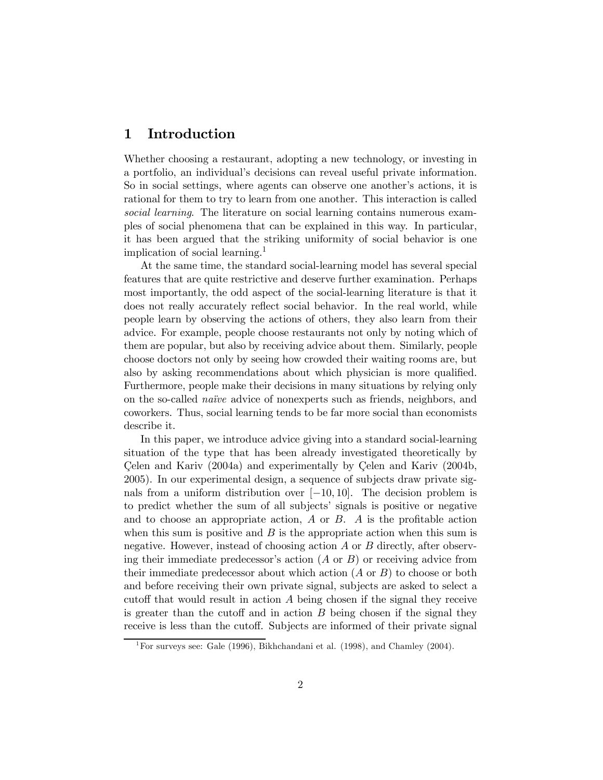## 1 Introduction

Whether choosing a restaurant, adopting a new technology, or investing in a portfolio, an individual's decisions can reveal useful private information. So in social settings, where agents can observe one another's actions, it is rational for them to try to learn from one another. This interaction is called social learning. The literature on social learning contains numerous examples of social phenomena that can be explained in this way. In particular, it has been argued that the striking uniformity of social behavior is one implication of social learning.1

At the same time, the standard social-learning model has several special features that are quite restrictive and deserve further examination. Perhaps most importantly, the odd aspect of the social-learning literature is that it does not really accurately reflect social behavior. In the real world, while people learn by observing the actions of others, they also learn from their advice. For example, people choose restaurants not only by noting which of them are popular, but also by receiving advice about them. Similarly, people choose doctors not only by seeing how crowded their waiting rooms are, but also by asking recommendations about which physician is more qualified. Furthermore, people make their decisions in many situations by relying only on the so-called naïve advice of nonexperts such as friends, neighbors, and coworkers. Thus, social learning tends to be far more social than economists describe it.

In this paper, we introduce advice giving into a standard social-learning situation of the type that has been already investigated theoretically by Çelen and Kariv (2004a) and experimentally by Çelen and Kariv (2004b, 2005). In our experimental design, a sequence of subjects draw private signals from a uniform distribution over  $[-10, 10]$ . The decision problem is to predict whether the sum of all subjects' signals is positive or negative and to choose an appropriate action,  $A$  or  $B$ .  $A$  is the profitable action when this sum is positive and  $B$  is the appropriate action when this sum is negative. However, instead of choosing action  $A$  or  $B$  directly, after observing their immediate predecessor's action  $(A \text{ or } B)$  or receiving advice from their immediate predecessor about which action  $(A \text{ or } B)$  to choose or both and before receiving their own private signal, subjects are asked to select a cutoff that would result in action  $A$  being chosen if the signal they receive is greater than the cutoff and in action  $B$  being chosen if the signal they receive is less than the cutoff. Subjects are informed of their private signal

<sup>&</sup>lt;sup>1</sup>For surveys see: Gale (1996), Bikhchandani et al. (1998), and Chamley (2004).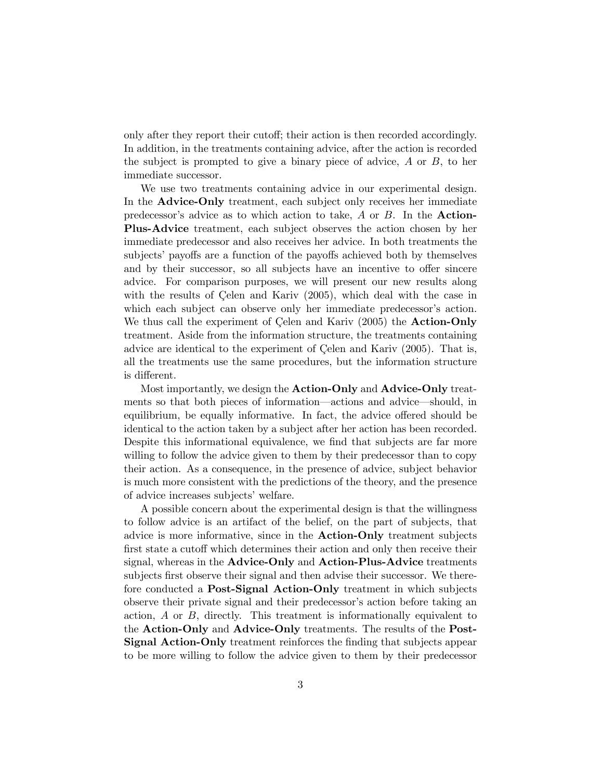only after they report their cutoff; their action is then recorded accordingly. In addition, in the treatments containing advice, after the action is recorded the subject is prompted to give a binary piece of advice,  $A$  or  $B$ , to her immediate successor.

We use two treatments containing advice in our experimental design. In the Advice-Only treatment, each subject only receives her immediate predecessor's advice as to which action to take,  $A$  or  $B$ . In the **Action-**Plus-Advice treatment, each subject observes the action chosen by her immediate predecessor and also receives her advice. In both treatments the subjects' payoffs are a function of the payoffs achieved both by themselves and by their successor, so all subjects have an incentive to offer sincere advice. For comparison purposes, we will present our new results along with the results of Çelen and Kariv (2005), which deal with the case in which each subject can observe only her immediate predecessor's action. We thus call the experiment of Celen and Kariv (2005) the **Action-Only** treatment. Aside from the information structure, the treatments containing advice are identical to the experiment of Çelen and Kariv (2005). That is, all the treatments use the same procedures, but the information structure is different.

Most importantly, we design the Action-Only and Advice-Only treatments so that both pieces of information–actions and advice–should, in equilibrium, be equally informative. In fact, the advice offered should be identical to the action taken by a subject after her action has been recorded. Despite this informational equivalence, we find that subjects are far more willing to follow the advice given to them by their predecessor than to copy their action. As a consequence, in the presence of advice, subject behavior is much more consistent with the predictions of the theory, and the presence of advice increases subjects' welfare.

A possible concern about the experimental design is that the willingness to follow advice is an artifact of the belief, on the part of subjects, that advice is more informative, since in the **Action-Only** treatment subjects first state a cutoff which determines their action and only then receive their signal, whereas in the Advice-Only and Action-Plus-Advice treatments subjects first observe their signal and then advise their successor. We therefore conducted a **Post-Signal Action-Only** treatment in which subjects observe their private signal and their predecessor's action before taking an action,  $A$  or  $B$ , directly. This treatment is informationally equivalent to the Action-Only and Advice-Only treatments. The results of the Post-Signal Action-Only treatment reinforces the finding that subjects appear to be more willing to follow the advice given to them by their predecessor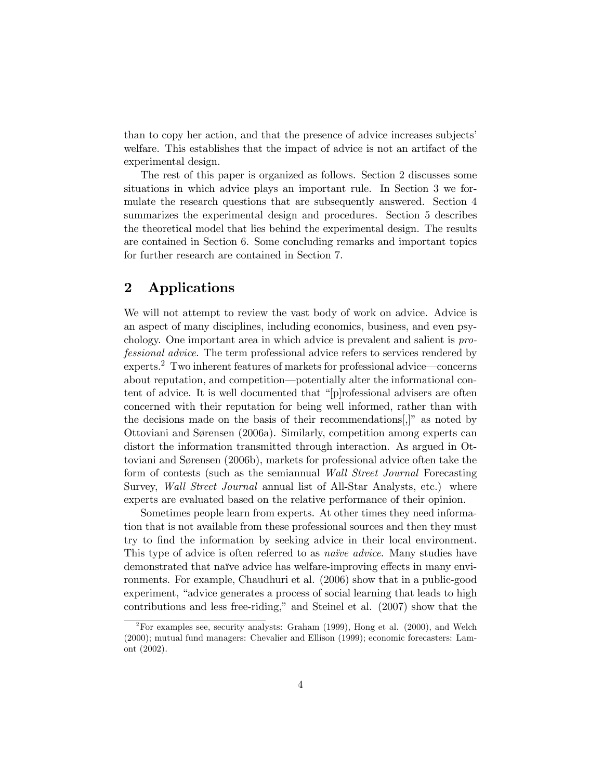than to copy her action, and that the presence of advice increases subjects' welfare. This establishes that the impact of advice is not an artifact of the experimental design.

The rest of this paper is organized as follows. Section 2 discusses some situations in which advice plays an important rule. In Section 3 we formulate the research questions that are subsequently answered. Section 4 summarizes the experimental design and procedures. Section 5 describes the theoretical model that lies behind the experimental design. The results are contained in Section 6. Some concluding remarks and important topics for further research are contained in Section 7.

## 2 Applications

We will not attempt to review the vast body of work on advice. Advice is an aspect of many disciplines, including economics, business, and even psychology. One important area in which advice is prevalent and salient is professional advice. The term professional advice refers to services rendered by experts.2 Two inherent features of markets for professional advice–concerns about reputation, and competition–potentially alter the informational content of advice. It is well documented that "[p]rofessional advisers are often concerned with their reputation for being well informed, rather than with the decisions made on the basis of their recommendations[,]" as noted by Ottoviani and Sørensen (2006a). Similarly, competition among experts can distort the information transmitted through interaction. As argued in Ottoviani and Sørensen (2006b), markets for professional advice often take the form of contests (such as the semiannual Wall Street Journal Forecasting Survey, Wall Street Journal annual list of All-Star Analysts, etc.) where experts are evaluated based on the relative performance of their opinion.

Sometimes people learn from experts. At other times they need information that is not available from these professional sources and then they must try to find the information by seeking advice in their local environment. This type of advice is often referred to as *naïve advice*. Many studies have demonstrated that naïve advice has welfare-improving effects in many environments. For example, Chaudhuri et al. (2006) show that in a public-good experiment, "advice generates a process of social learning that leads to high contributions and less free-riding," and Steinel et al. (2007) show that the

<sup>&</sup>lt;sup>2</sup>For examples see, security analysts: Graham  $(1999)$ , Hong et al.  $(2000)$ , and Welch (2000); mutual fund managers: Chevalier and Ellison (1999); economic forecasters: Lamont (2002).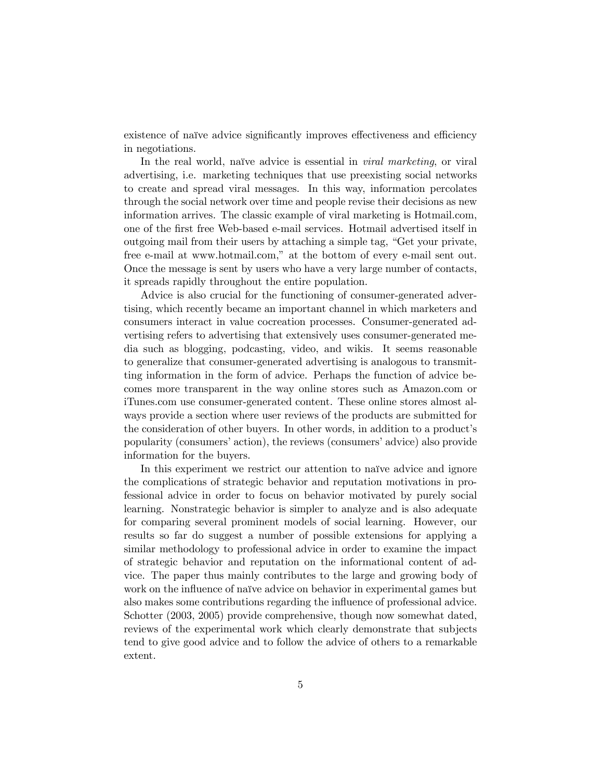existence of naïve advice significantly improves effectiveness and efficiency in negotiations.

In the real world, naïve advice is essential in *viral marketing*, or viral advertising, i.e. marketing techniques that use preexisting social networks to create and spread viral messages. In this way, information percolates through the social network over time and people revise their decisions as new information arrives. The classic example of viral marketing is Hotmail.com, one of the first free Web-based e-mail services. Hotmail advertised itself in outgoing mail from their users by attaching a simple tag, "Get your private, free e-mail at www.hotmail.com," at the bottom of every e-mail sent out. Once the message is sent by users who have a very large number of contacts, it spreads rapidly throughout the entire population.

Advice is also crucial for the functioning of consumer-generated advertising, which recently became an important channel in which marketers and consumers interact in value cocreation processes. Consumer-generated advertising refers to advertising that extensively uses consumer-generated media such as blogging, podcasting, video, and wikis. It seems reasonable to generalize that consumer-generated advertising is analogous to transmitting information in the form of advice. Perhaps the function of advice becomes more transparent in the way online stores such as Amazon.com or iTunes.com use consumer-generated content. These online stores almost always provide a section where user reviews of the products are submitted for the consideration of other buyers. In other words, in addition to a product's popularity (consumers' action), the reviews (consumers' advice) also provide information for the buyers.

In this experiment we restrict our attention to naïve advice and ignore the complications of strategic behavior and reputation motivations in professional advice in order to focus on behavior motivated by purely social learning. Nonstrategic behavior is simpler to analyze and is also adequate for comparing several prominent models of social learning. However, our results so far do suggest a number of possible extensions for applying a similar methodology to professional advice in order to examine the impact of strategic behavior and reputation on the informational content of advice. The paper thus mainly contributes to the large and growing body of work on the influence of naïve advice on behavior in experimental games but also makes some contributions regarding the influence of professional advice. Schotter (2003, 2005) provide comprehensive, though now somewhat dated, reviews of the experimental work which clearly demonstrate that subjects tend to give good advice and to follow the advice of others to a remarkable extent.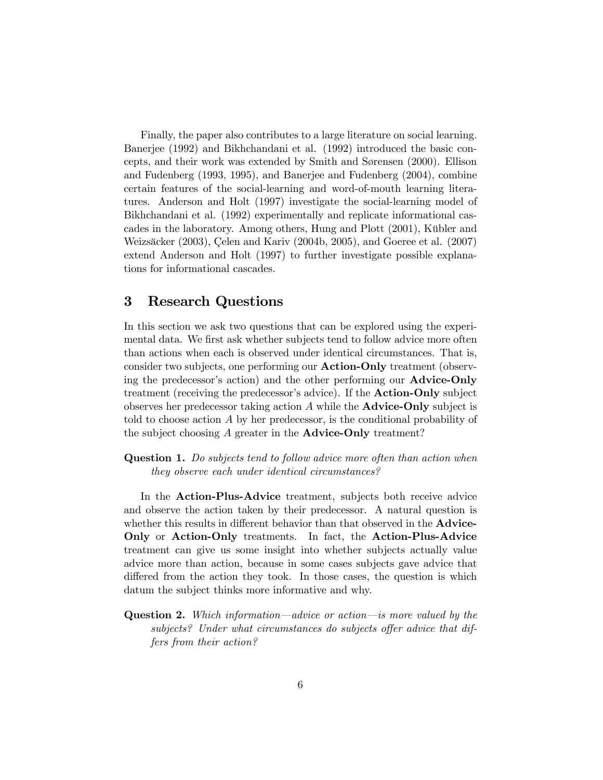Finally, the paper also contributes to a large literature on social learning. Banerjee (1992) and Bikhchandani et al. (1992) introduced the basic concepts, and their work was extended by Smith and Sørensen (2000). Ellison and Fudenberg (1993, 1995), and Banerjee and Fudenberg (2004), combine certain features of the social-learning and word-of-mouth learning literatures. Anderson and Holt (1997) investigate the social-learning model of Bikhchandani et al. (1992) experimentally and replicate informational cascades in the laboratory. Among others, Hung and Plott (2001), Kübler and Weizsäcker (2003), Çelen and Kariv (2004b, 2005), and Goeree et al. (2007) extend Anderson and Holt (1997) to further investigate possible explanations for informational cascades.

## 3 Research Questions

In this section we ask two questions that can be explored using the experimental data. We first ask whether subjects tend to follow advice more often than actions when each is observed under identical circumstances. That is, consider two subjects, one performing our Action-Only treatment (observing the predecessor's action) and the other performing our Advice-Only treatment (receiving the predecessor's advice). If the Action-Only subject observes her predecessor taking action  $A$  while the **Advice-Only** subject is told to choose action  $A$  by her predecessor, is the conditional probability of the subject choosing  $A$  greater in the **Advice-Only** treatment?

**Question 1.** Do subjects tend to follow advice more often than action when they observe each under identical circumstances?

In the Action-Plus-Advice treatment, subjects both receive advice and observe the action taken by their predecessor. A natural question is whether this results in different behavior than that observed in the **Advice-**Only or Action-Only treatments. In fact, the Action-Plus-Advice treatment can give us some insight into whether subjects actually value advice more than action, because in some cases subjects gave advice that differed from the action they took. In those cases, the question is which datum the subject thinks more informative and why.

**Question 2.** Which information—advice or action—is more valued by the subjects? Under what circumstances do subjects offer advice that differs from their action?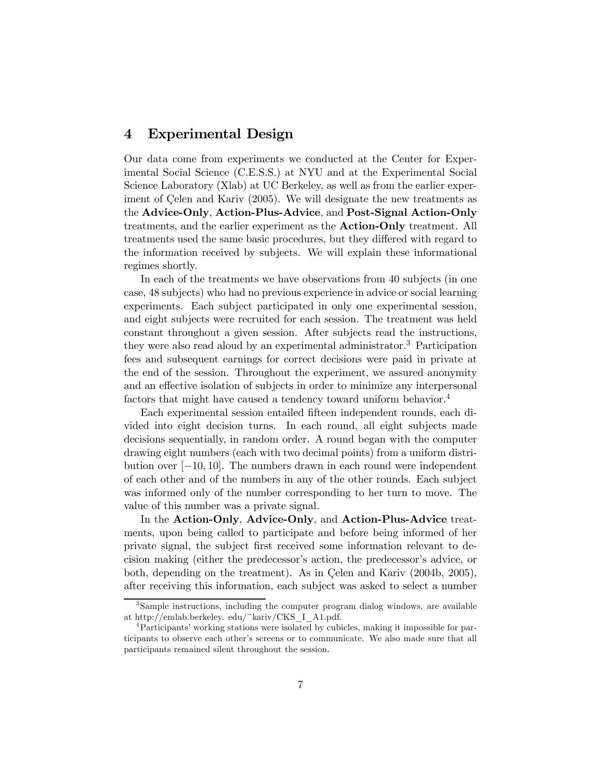## 4 Experimental Design

Our data come from experiments we conducted at the Center for Experimental Social Science (C.E.S.S.) at NYU and at the Experimental Social Science Laboratory (Xlab) at UC Berkeley, as well as from the earlier experiment of Çelen and Kariv (2005). We will designate the new treatments as the Advice-Only, Action-Plus-Advice, and Post-Signal Action-Only treatments, and the earlier experiment as the Action-Only treatment. All treatments used the same basic procedures, but they differed with regard to the information received by subjects. We will explain these informational regimes shortly.

In each of the treatments we have observations from 40 subjects (in one case, 48 subjects) who had no previous experience in advice or social learning experiments. Each subject participated in only one experimental session, and eight subjects were recruited for each session. The treatment was held constant throughout a given session. After subjects read the instructions, they were also read aloud by an experimental administrator.<sup>3</sup> Participation fees and subsequent earnings for correct decisions were paid in private at the end of the session. Throughout the experiment, we assured anonymity and an effective isolation of subjects in order to minimize any interpersonal factors that might have caused a tendency toward uniform behavior.<sup>4</sup>

Each experimental session entailed fifteen independent rounds, each divided into eight decision turns. In each round, all eight subjects made decisions sequentially, in random order. A round began with the computer drawing eight numbers (each with two decimal points) from a uniform distribution over  $[-10, 10]$ . The numbers drawn in each round were independent of each other and of the numbers in any of the other rounds. Each subject was informed only of the number corresponding to her turn to move. The value of this number was a private signal.

In the Action-Only, Advice-Only, and Action-Plus-Advice treatments, upon being called to participate and before being informed of her private signal, the subject first received some information relevant to decision making (either the predecessor's action, the predecessor's advice, or both, depending on the treatment). As in Çelen and Kariv (2004b, 2005), after receiving this information, each subject was asked to select a number

<sup>&</sup>lt;sup>3</sup>Sample instructions, including the computer program dialog windows, are available at http://emlab.berkeley. edu/~kariv/CKS\_I\_A1.pdf.

<sup>4</sup>Participants' working stations were isolated by cubicles, making it impossible for participants to observe each other's screens or to communicate. We also made sure that all participants remained silent throughout the session.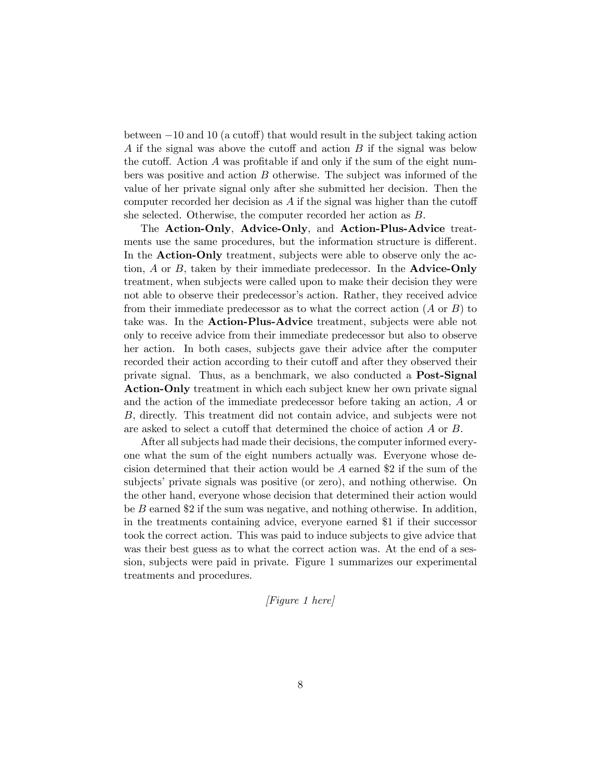between −10 and 10 (a cutoff) that would result in the subject taking action A if the signal was above the cutoff and action  $B$  if the signal was below the cutoff. Action  $A$  was profitable if and only if the sum of the eight numbers was positive and action  $B$  otherwise. The subject was informed of the value of her private signal only after she submitted her decision. Then the computer recorded her decision as  $\tilde{A}$  if the signal was higher than the cutoff she selected. Otherwise, the computer recorded her action as  $B$ .

The Action-Only, Advice-Only, and Action-Plus-Advice treatments use the same procedures, but the information structure is different. In the **Action-Only** treatment, subjects were able to observe only the action,  $A$  or  $B$ , taken by their immediate predecessor. In the **Advice-Only** treatment, when subjects were called upon to make their decision they were not able to observe their predecessor's action. Rather, they received advice from their immediate predecessor as to what the correct action  $(A \text{ or } B)$  to take was. In the Action-Plus-Advice treatment, subjects were able not only to receive advice from their immediate predecessor but also to observe her action. In both cases, subjects gave their advice after the computer recorded their action according to their cutoff and after they observed their private signal. Thus, as a benchmark, we also conducted a Post-Signal Action-Only treatment in which each subject knew her own private signal and the action of the immediate predecessor before taking an action,  $A$  or , directly. This treatment did not contain advice, and subjects were not are asked to select a cutoff that determined the choice of action  $A$  or  $B$ .

After all subjects had made their decisions, the computer informed everyone what the sum of the eight numbers actually was. Everyone whose decision determined that their action would be  $A$  earned \$2 if the sum of the subjects' private signals was positive (or zero), and nothing otherwise. On the other hand, everyone whose decision that determined their action would be  $B$  earned \$2 if the sum was negative, and nothing otherwise. In addition, in the treatments containing advice, everyone earned \$1 if their successor took the correct action. This was paid to induce subjects to give advice that was their best guess as to what the correct action was. At the end of a session, subjects were paid in private. Figure 1 summarizes our experimental treatments and procedures.

#### [Figure 1 here]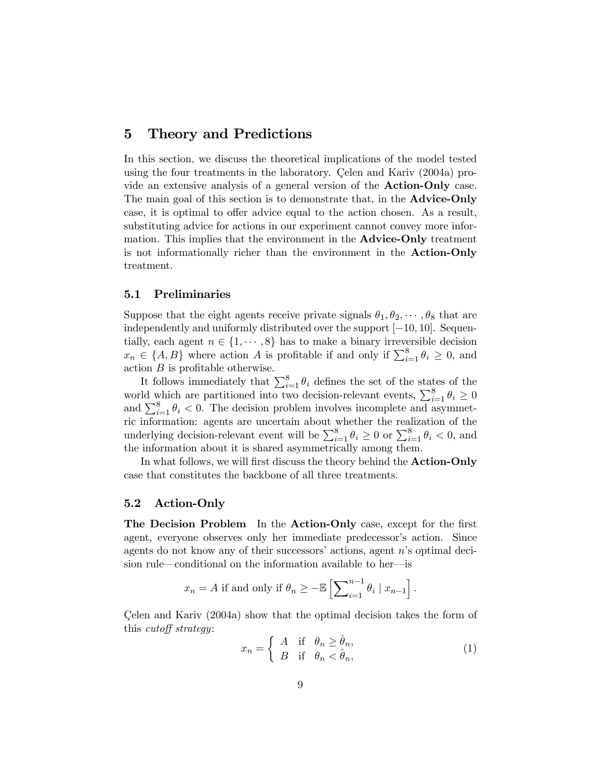## 5 Theory and Predictions

In this section, we discuss the theoretical implications of the model tested using the four treatments in the laboratory. Çelen and Kariv (2004a) provide an extensive analysis of a general version of the Action-Only case. The main goal of this section is to demonstrate that, in the Advice-Only case, it is optimal to offer advice equal to the action chosen. As a result, substituting advice for actions in our experiment cannot convey more information. This implies that the environment in the **Advice-Only** treatment is not informationally richer than the environment in the **Action-Only** treatment.

#### 5.1 Preliminaries

Suppose that the eight agents receive private signals  $\theta_1, \theta_2, \cdots, \theta_8$  that are independently and uniformly distributed over the support  $[-10, 10]$ . Sequentially, each agent  $n \in \{1, \dots, 8\}$  has to make a binary irreversible decision  $x_n \in \{A, B\}$  where action A is profitable if and only if  $\sum_{i=1}^{8} \theta_i \geq 0$ , and action  $B$  is profitable otherwise.

It follows immediately that  $\sum_{i=1}^{8} \theta_i$  defines the set of the states of the world which are partitioned into two decision-relevant events,  $\sum_{i=1}^{8} \theta_i \geq 0$ and  $\sum_{i=1}^{8} \theta_i < 0$ . The decision problem involves incomplete and asymmetric information: agents are uncertain about whether the realization of the underlying decision-relevant event will be  $\sum_{i=1}^{8} \theta_i \ge 0$  or  $\sum_{i=1}^{8} \theta_i < 0$ , and the information about it is shared asymmetrically among them.

In what follows, we will first discuss the theory behind the **Action-Only** case that constitutes the backbone of all three treatments.

## 5.2 Action-Only

The Decision Problem In the Action-Only case, except for the first agent, everyone observes only her immediate predecessor's action. Since agents do not know any of their successors' actions, agent  $n$ 's optimal decision rule–conditional on the information available to her–is

$$
x_n = A
$$
 if and only if  $\theta_n \geq -\mathbb{E}\left[\sum_{i=1}^{n-1} \theta_i \mid x_{n-1}\right]$ .

Çelen and Kariv (2004a) show that the optimal decision takes the form of this cutoff strategy:

$$
x_n = \begin{cases} A & \text{if } \theta_n \ge \hat{\theta}_n, \\ B & \text{if } \theta_n < \hat{\theta}_n, \end{cases} \tag{1}
$$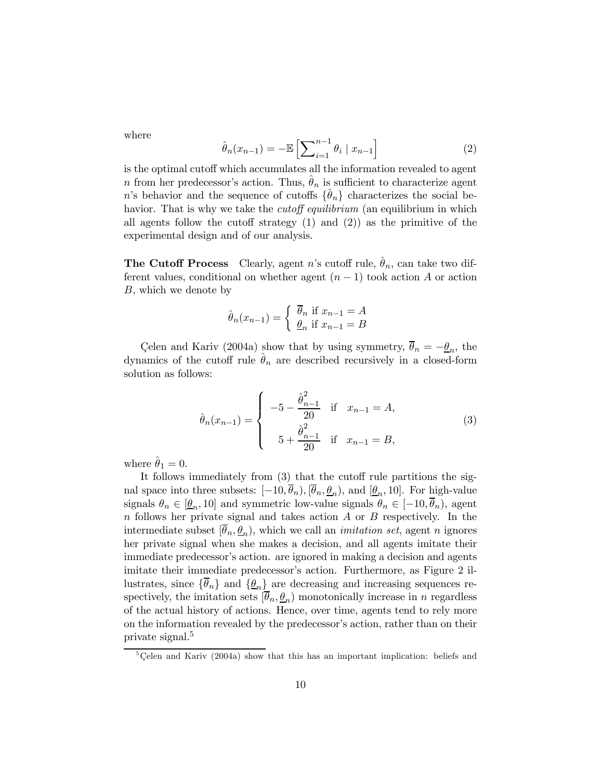where 
$$
\hat{\theta}_n(x_{n-1}) = -\mathbb{E}\left[\sum_{i=1}^{n-1} \theta_i \mid x_{n-1}\right]
$$
 (2)

is the optimal cutoff which accumulates all the information revealed to agent n from her predecessor's action. Thus,  $\hat{\theta}_n$  is sufficient to characterize agent n's behavior and the sequence of cutoffs  $\{\theta_n\}$  characterizes the social behavior. That is why we take the *cutoff equilibrium* (an equilibrium in which all agents follow the cutoff strategy (1) and (2)) as the primitive of the experimental design and of our analysis.

**The Cutoff Process** Clearly, agent n's cutoff rule,  $\hat{\theta}_n$ , can take two different values, conditional on whether agent  $(n-1)$  took action A or action , which we denote by

$$
\hat{\theta}_n(x_{n-1}) = \begin{cases} \overline{\theta}_n \text{ if } x_{n-1} = A \\ \underline{\theta}_n \text{ if } x_{n-1} = B \end{cases}
$$

Çelen and Kariv (2004a) show that by using symmetry,  $\bar{\theta}_n = -\theta_n$ , the dynamics of the cutoff rule  $\hat{\theta}_n$  are described recursively in a closed-form solution as follows:

$$
\hat{\theta}_n(x_{n-1}) = \begin{cases}\n-5 - \frac{\hat{\theta}_{n-1}^2}{20} & \text{if } x_{n-1} = A, \\
5 + \frac{\hat{\theta}_{n-1}^2}{20} & \text{if } x_{n-1} = B,\n\end{cases}
$$
\n(3)

where  $\hat{\theta}_1 = 0$ .

It follows immediately from (3) that the cutoff rule partitions the signal space into three subsets:  $[-10, \overline{\theta}_n)$ ,  $[\overline{\theta}_n, \underline{\theta}_n)$ , and  $[\underline{\theta}_n, 10]$ . For high-value signals  $\theta_n \in [\underline{\theta}_n, 10]$  and symmetric low-value signals  $\theta_n \in [-10, \overline{\theta}_n)$ , agent  $n$  follows her private signal and takes action  $A$  or  $B$  respectively. In the intermediate subset  $[\overline{\theta}_n, \underline{\theta}_n)$ , which we call an *imitation set*, agent *n* ignores her private signal when she makes a decision, and all agents imitate their immediate predecessor's action. are ignored in making a decision and agents imitate their immediate predecessor's action. Furthermore, as Figure 2 illustrates, since  $\{\overline{\theta}_n\}$  and  $\{\underline{\theta}_n\}$  are decreasing and increasing sequences respectively, the imitation sets  $[\overline{\theta}_n, \underline{\theta}_n)$  monotonically increase in  $n$  regardless of the actual history of actions. Hence, over time, agents tend to rely more on the information revealed by the predecessor's action, rather than on their private signal.5

<sup>&</sup>lt;sup>5</sup>Celen and Kariv (2004a) show that this has an important implication: beliefs and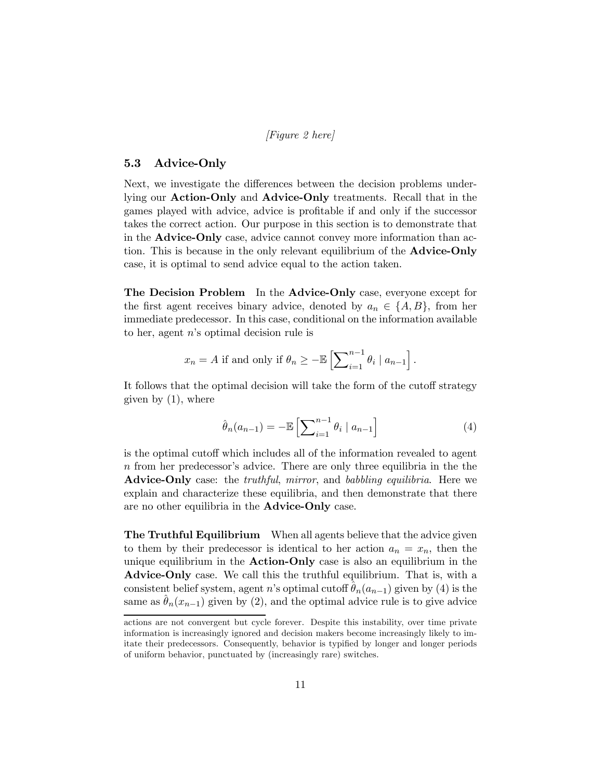#### [Figure 2 here]

#### 5.3 Advice-Only

Next, we investigate the differences between the decision problems underlying our Action-Only and Advice-Only treatments. Recall that in the games played with advice, advice is profitable if and only if the successor takes the correct action. Our purpose in this section is to demonstrate that in the Advice-Only case, advice cannot convey more information than action. This is because in the only relevant equilibrium of the **Advice-Only** case, it is optimal to send advice equal to the action taken.

The Decision Problem In the Advice-Only case, everyone except for the first agent receives binary advice, denoted by  $a_n \in \{A, B\}$ , from her immediate predecessor. In this case, conditional on the information available to her, agent  $n$ 's optimal decision rule is

$$
x_n = A
$$
 if and only if  $\theta_n \geq -\mathbb{E}\left[\sum_{i=1}^{n-1} \theta_i \mid a_{n-1}\right]$ .

It follows that the optimal decision will take the form of the cutoff strategy given by (1), where

$$
\hat{\theta}_n(a_{n-1}) = -\mathbb{E}\left[\sum_{i=1}^{n-1} \theta_i \mid a_{n-1}\right]
$$
\n(4)

is the optimal cutoff which includes all of the information revealed to agent  $n$  from her predecessor's advice. There are only three equilibria in the the Advice-Only case: the *truthful, mirror*, and *babbling equilibria*. Here we explain and characterize these equilibria, and then demonstrate that there are no other equilibria in the Advice-Only case.

The Truthful Equilibrium When all agents believe that the advice given to them by their predecessor is identical to her action  $a_n = x_n$ , then the unique equilibrium in the **Action-Only** case is also an equilibrium in the Advice-Only case. We call this the truthful equilibrium. That is, with a consistent belief system, agent n's optimal cutoff  $\theta_n(a_{n-1})$  given by (4) is the same as  $\hat{\theta}_n(x_{n-1})$  given by (2), and the optimal advice rule is to give advice

actions are not convergent but cycle forever. Despite this instability, over time private information is increasingly ignored and decision makers become increasingly likely to imitate their predecessors. Consequently, behavior is typified by longer and longer periods of uniform behavior, punctuated by (increasingly rare) switches.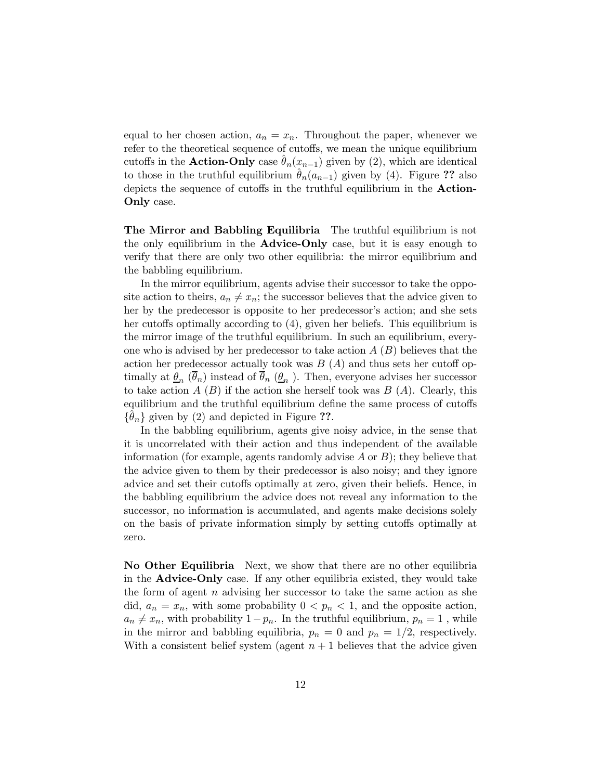equal to her chosen action,  $a_n = x_n$ . Throughout the paper, whenever we refer to the theoretical sequence of cutoffs, we mean the unique equilibrium cutoffs in the **Action-Only** case  $\theta_n(x_{n-1})$  given by (2), which are identical to those in the truthful equilibrium  $\theta_n(a_{n-1})$  given by (4). Figure ?? also depicts the sequence of cutoffs in the truthful equilibrium in the Action-Only case.

The Mirror and Babbling Equilibria The truthful equilibrium is not the only equilibrium in the **Advice-Only** case, but it is easy enough to verify that there are only two other equilibria: the mirror equilibrium and the babbling equilibrium.

In the mirror equilibrium, agents advise their successor to take the opposite action to theirs,  $a_n \neq x_n$ ; the successor believes that the advice given to her by the predecessor is opposite to her predecessor's action; and she sets her cutoffs optimally according to (4), given her beliefs. This equilibrium is the mirror image of the truthful equilibrium. In such an equilibrium, everyone who is advised by her predecessor to take action  $A(B)$  believes that the action her predecessor actually took was  $B(A)$  and thus sets her cutoff optimally at  $\underline{\theta}_n$  ( $\overline{\theta}_n$ ) instead of  $\overline{\theta}_n$  ( $\underline{\theta}_n$ ). Then, everyone advises her successor to take action  $A(B)$  if the action she herself took was  $B(A)$ . Clearly, this equilibrium and the truthful equilibrium define the same process of cutoffs  $\{\theta_n\}$  given by (2) and depicted in Figure ??.

In the babbling equilibrium, agents give noisy advice, in the sense that it is uncorrelated with their action and thus independent of the available information (for example, agents randomly advise  $A$  or  $B$ ); they believe that the advice given to them by their predecessor is also noisy; and they ignore advice and set their cutoffs optimally at zero, given their beliefs. Hence, in the babbling equilibrium the advice does not reveal any information to the successor, no information is accumulated, and agents make decisions solely on the basis of private information simply by setting cutoffs optimally at zero.

No Other Equilibria Next, we show that there are no other equilibria in the Advice-Only case. If any other equilibria existed, they would take the form of agent  $n$  advising her successor to take the same action as she did,  $a_n = x_n$ , with some probability  $0 < p_n < 1$ , and the opposite action,  $a_n \neq x_n$ , with probability  $1-p_n$ . In the truthful equilibrium,  $p_n = 1$ , while in the mirror and babbling equilibria,  $p_n = 0$  and  $p_n = 1/2$ , respectively. With a consistent belief system (agent  $n+1$  believes that the advice given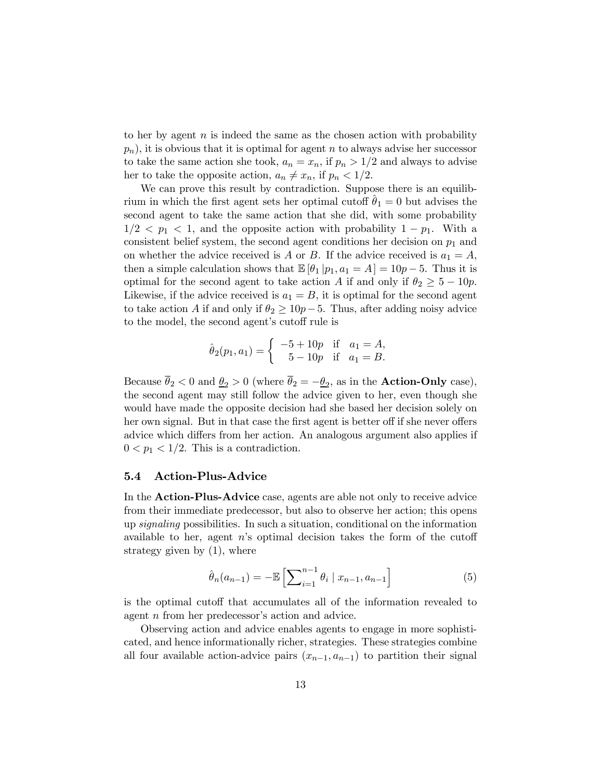to her by agent  $n$  is indeed the same as the chosen action with probability  $(p_n)$ , it is obvious that it is optimal for agent n to always advise her successor to take the same action she took,  $a_n = x_n$ , if  $p_n > 1/2$  and always to advise her to take the opposite action,  $a_n \neq x_n$ , if  $p_n < 1/2$ .

We can prove this result by contradiction. Suppose there is an equilibrium in which the first agent sets her optimal cutoff  $\theta_1 = 0$  but advises the second agent to take the same action that she did, with some probability  $1/2 < p_1 < 1$ , and the opposite action with probability  $1 - p_1$ . With a consistent belief system, the second agent conditions her decision on  $p_1$  and on whether the advice received is A or B. If the advice received is  $a_1 = A$ , then a simple calculation shows that  $\mathbb{E}[\theta_1 | p_1, a_1 = A] = 10p - 5$ . Thus it is optimal for the second agent to take action A if and only if  $\theta_2 \geq 5 - 10p$ . Likewise, if the advice received is  $a_1 = B$ , it is optimal for the second agent to take action A if and only if  $\theta_2 \geq 10p-5$ . Thus, after adding noisy advice to the model, the second agent's cutoff rule is

$$
\hat{\theta}_2(p_1, a_1) = \begin{cases}\n-5 + 10p & \text{if } a_1 = A, \\
5 - 10p & \text{if } a_1 = B.\n\end{cases}
$$

Because  $\bar{\theta}_2 < 0$  and  $\underline{\theta}_2 > 0$  (where  $\bar{\theta}_2 = -\underline{\theta}_2$ , as in the **Action-Only** case), the second agent may still follow the advice given to her, even though she would have made the opposite decision had she based her decision solely on her own signal. But in that case the first agent is better off if she never offers advice which differs from her action. An analogous argument also applies if  $0 < p_1 < 1/2$ . This is a contradiction.

### 5.4 Action-Plus-Advice

In the Action-Plus-Advice case, agents are able not only to receive advice from their immediate predecessor, but also to observe her action; this opens up signaling possibilities. In such a situation, conditional on the information available to her, agent  $n$ 's optimal decision takes the form of the cutoff strategy given by (1), where

$$
\hat{\theta}_n(a_{n-1}) = -\mathbb{E}\left[\sum_{i=1}^{n-1} \theta_i \mid x_{n-1}, a_{n-1}\right]
$$
\n(5)

is the optimal cutoff that accumulates all of the information revealed to agent  $n$  from her predecessor's action and advice.

Observing action and advice enables agents to engage in more sophisticated, and hence informationally richer, strategies. These strategies combine all four available action-advice pairs  $(x_{n-1}, a_{n-1})$  to partition their signal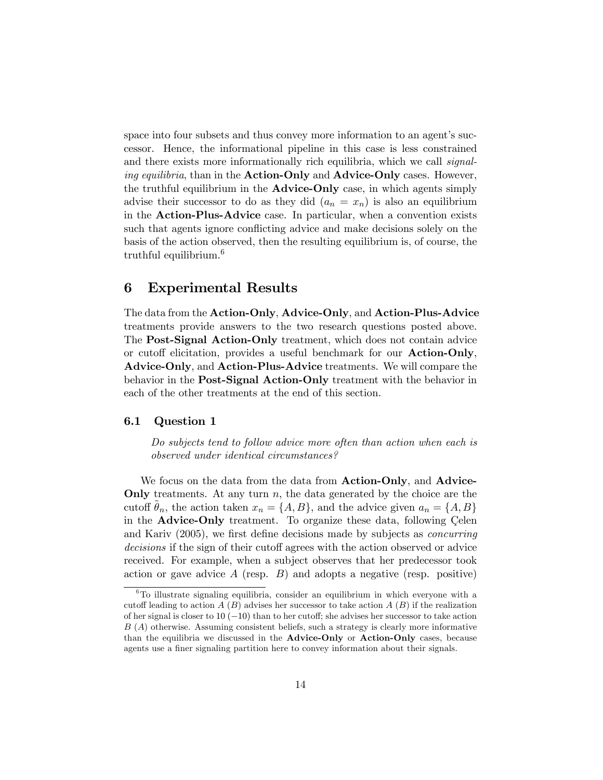space into four subsets and thus convey more information to an agent's successor. Hence, the informational pipeline in this case is less constrained and there exists more informationally rich equilibria, which we call signaling equilibria, than in the **Action-Only** and **Advice-Only** cases. However, the truthful equilibrium in the **Advice-Only** case, in which agents simply advise their successor to do as they did  $(a_n = x_n)$  is also an equilibrium in the Action-Plus-Advice case. In particular, when a convention exists such that agents ignore conflicting advice and make decisions solely on the basis of the action observed, then the resulting equilibrium is, of course, the truthful equilibrium.<sup>6</sup>

## 6 Experimental Results

The data from the Action-Only, Advice-Only, and Action-Plus-Advice treatments provide answers to the two research questions posted above. The Post-Signal Action-Only treatment, which does not contain advice or cutoff elicitation, provides a useful benchmark for our Action-Only, Advice-Only, and Action-Plus-Advice treatments. We will compare the behavior in the Post-Signal Action-Only treatment with the behavior in each of the other treatments at the end of this section.

#### 6.1 Question 1

Do subjects tend to follow advice more often than action when each is observed under identical circumstances?

We focus on the data from the data from **Action-Only**, and **Advice-Only** treatments. At any turn  $n$ , the data generated by the choice are the cutoff  $\theta_n$ , the action taken  $x_n = \{A, B\}$ , and the advice given  $a_n = \{A, B\}$ in the Advice-Only treatment. To organize these data, following Çelen and Kariv (2005), we first define decisions made by subjects as concurring decisions if the sign of their cutoff agrees with the action observed or advice received. For example, when a subject observes that her predecessor took action or gave advice  $A$  (resp.  $B$ ) and adopts a negative (resp. positive)

<sup>6</sup>To illustrate signaling equilibria, consider an equilibrium in which everyone with a cutoff leading to action  $A(B)$  advises her successor to take action  $A(B)$  if the realization of her signal is closer to 10 (−10) than to her cutoff; she advises her successor to take action  $B(A)$  otherwise. Assuming consistent beliefs, such a strategy is clearly more informative than the equilibria we discussed in the Advice-Only or Action-Only cases, because agents use a finer signaling partition here to convey information about their signals.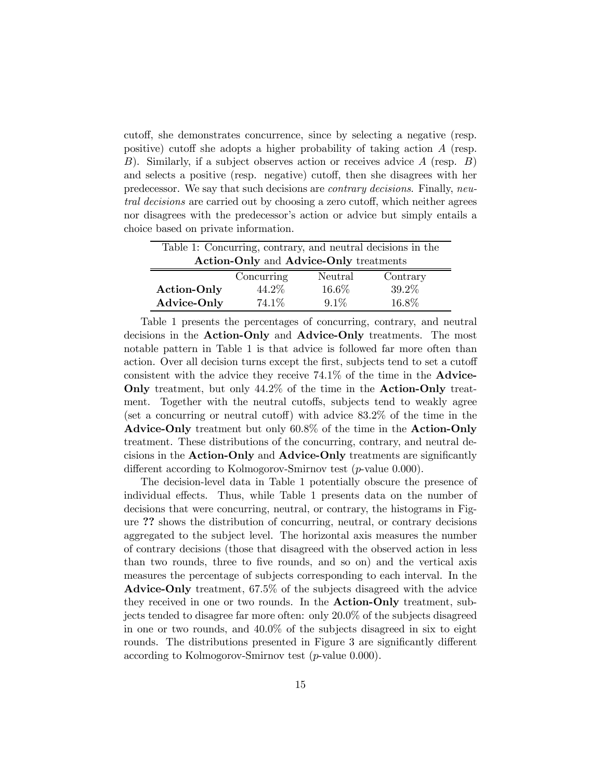cutoff, she demonstrates concurrence, since by selecting a negative (resp. positive) cutoff she adopts a higher probability of taking action  $A$  (resp.  $B$ ). Similarly, if a subject observes action or receives advice  $A$  (resp.  $B$ ) and selects a positive (resp. negative) cutoff, then she disagrees with her predecessor. We say that such decisions are contrary decisions. Finally, neutral decisions are carried out by choosing a zero cutoff, which neither agrees nor disagrees with the predecessor's action or advice but simply entails a choice based on private information.

| Table 1: Concurring, contrary, and neutral decisions in the |            |         |          |  |
|-------------------------------------------------------------|------------|---------|----------|--|
| <b>Action-Only and Advice-Only treatments</b>               |            |         |          |  |
|                                                             | Concurring | Neutral | Contrary |  |
| <b>Action-Only</b>                                          | 44.2%      | 16.6%   | 39.2%    |  |
| Advice-Only                                                 | 74.1\%     | $9.1\%$ | 16.8%    |  |

Table 1 presents the percentages of concurring, contrary, and neutral decisions in the Action-Only and Advice-Only treatments. The most notable pattern in Table 1 is that advice is followed far more often than action. Over all decision turns except the first, subjects tend to set a cutoff consistent with the advice they receive 74.1% of the time in the Advice-Only treatment, but only 44.2% of the time in the Action-Only treatment. Together with the neutral cutoffs, subjects tend to weakly agree (set a concurring or neutral cutoff) with advice 83.2% of the time in the Advice-Only treatment but only 60.8% of the time in the Action-Only treatment. These distributions of the concurring, contrary, and neutral decisions in the Action-Only and Advice-Only treatments are significantly different according to Kolmogorov-Smirnov test  $(p$ -value 0.000).

The decision-level data in Table 1 potentially obscure the presence of individual effects. Thus, while Table 1 presents data on the number of decisions that were concurring, neutral, or contrary, the histograms in Figure ?? shows the distribution of concurring, neutral, or contrary decisions aggregated to the subject level. The horizontal axis measures the number of contrary decisions (those that disagreed with the observed action in less than two rounds, three to five rounds, and so on) and the vertical axis measures the percentage of subjects corresponding to each interval. In the Advice-Only treatment, 67.5% of the subjects disagreed with the advice they received in one or two rounds. In the **Action-Only** treatment, subjects tended to disagree far more often: only 20.0% of the subjects disagreed in one or two rounds, and 40.0% of the subjects disagreed in six to eight rounds. The distributions presented in Figure 3 are significantly different according to Kolmogorov-Smirnov test ( $p$ -value 0.000).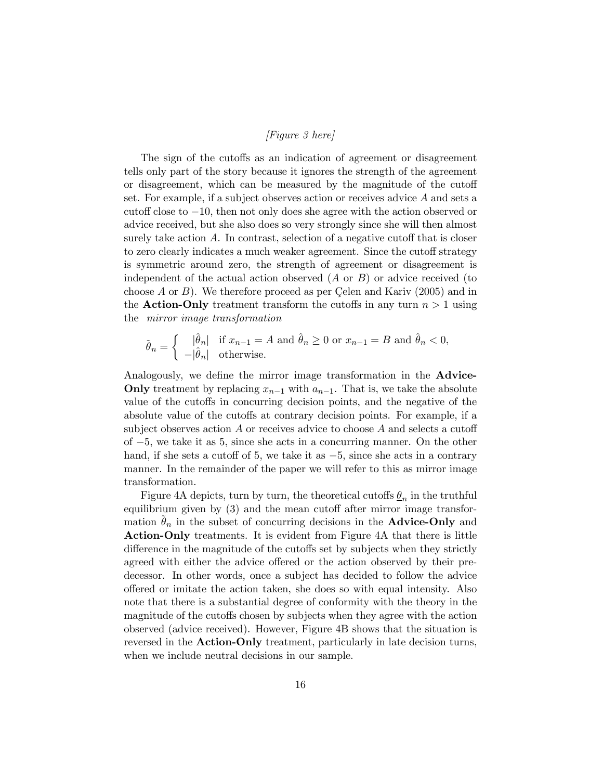#### [Figure 3 here]

The sign of the cutoffs as an indication of agreement or disagreement tells only part of the story because it ignores the strength of the agreement or disagreement, which can be measured by the magnitude of the cutoff set. For example, if a subject observes action or receives advice  $A$  and sets a cutoff close to −10, then not only does she agree with the action observed or advice received, but she also does so very strongly since she will then almost surely take action  $A$ . In contrast, selection of a negative cutoff that is closer to zero clearly indicates a much weaker agreement. Since the cutoff strategy is symmetric around zero, the strength of agreement or disagreement is independent of the actual action observed  $(A \text{ or } B)$  or advice received (to choose  $A$  or  $B$ ). We therefore proceed as per Çelen and Kariv (2005) and in the **Action-Only** treatment transform the cutoffs in any turn  $n > 1$  using the mirror image transformation

$$
\tilde{\theta}_n = \begin{cases}\n|\hat{\theta}_n| & \text{if } x_{n-1} = A \text{ and } \hat{\theta}_n \ge 0 \text{ or } x_{n-1} = B \text{ and } \hat{\theta}_n < 0, \\
-|\hat{\theta}_n| & \text{otherwise.}\n\end{cases}
$$

Analogously, we define the mirror image transformation in the **Advice-Only** treatment by replacing  $x_{n-1}$  with  $a_{n-1}$ . That is, we take the absolute value of the cutoffs in concurring decision points, and the negative of the absolute value of the cutoffs at contrary decision points. For example, if a subject observes action  $A$  or receives advice to choose  $A$  and selects a cutoff of −5, we take it as 5, since she acts in a concurring manner. On the other hand, if she sets a cutoff of 5, we take it as −5, since she acts in a contrary manner. In the remainder of the paper we will refer to this as mirror image transformation.

Figure 4A depicts, turn by turn, the theoretical cutoffs  $\theta_n$  in the truthful equilibrium given by (3) and the mean cutoff after mirror image transformation  $\theta_n$  in the subset of concurring decisions in the **Advice-Only** and Action-Only treatments. It is evident from Figure 4A that there is little difference in the magnitude of the cutoffs set by subjects when they strictly agreed with either the advice offered or the action observed by their predecessor. In other words, once a subject has decided to follow the advice offered or imitate the action taken, she does so with equal intensity. Also note that there is a substantial degree of conformity with the theory in the magnitude of the cutoffs chosen by subjects when they agree with the action observed (advice received). However, Figure 4B shows that the situation is reversed in the **Action-Only** treatment, particularly in late decision turns, when we include neutral decisions in our sample.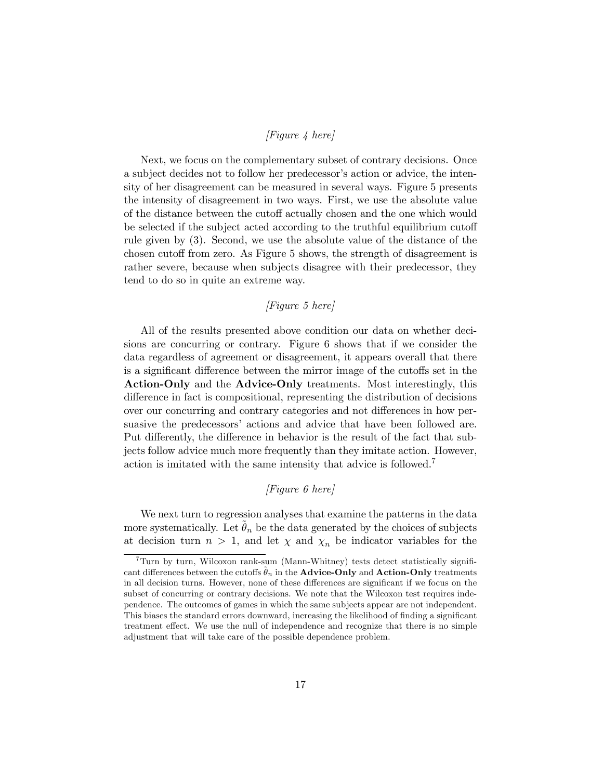### [Figure 4 here]

Next, we focus on the complementary subset of contrary decisions. Once a subject decides not to follow her predecessor's action or advice, the intensity of her disagreement can be measured in several ways. Figure 5 presents the intensity of disagreement in two ways. First, we use the absolute value of the distance between the cutoff actually chosen and the one which would be selected if the subject acted according to the truthful equilibrium cutoff rule given by (3). Second, we use the absolute value of the distance of the chosen cutoff from zero. As Figure 5 shows, the strength of disagreement is rather severe, because when subjects disagree with their predecessor, they tend to do so in quite an extreme way.

## [Figure 5 here]

All of the results presented above condition our data on whether decisions are concurring or contrary. Figure 6 shows that if we consider the data regardless of agreement or disagreement, it appears overall that there is a significant difference between the mirror image of the cutoffs set in the Action-Only and the Advice-Only treatments. Most interestingly, this difference in fact is compositional, representing the distribution of decisions over our concurring and contrary categories and not differences in how persuasive the predecessors' actions and advice that have been followed are. Put differently, the difference in behavior is the result of the fact that subjects follow advice much more frequently than they imitate action. However, action is imitated with the same intensity that advice is followed.7

#### [Figure 6 here]

We next turn to regression analyses that examine the patterns in the data more systematically. Let  $\theta_n$  be the data generated by the choices of subjects at decision turn  $n > 1$ , and let  $\chi$  and  $\chi_n$  be indicator variables for the

<sup>7</sup>Turn by turn, Wilcoxon rank-sum (Mann-Whitney) tests detect statistically significant differences between the cutoffs  $\hat{\theta}_n$  in the **Advice-Only** and **Action-Only** treatments in all decision turns. However, none of these differences are significant if we focus on the subset of concurring or contrary decisions. We note that the Wilcoxon test requires independence. The outcomes of games in which the same subjects appear are not independent. This biases the standard errors downward, increasing the likelihood of finding a significant treatment effect. We use the null of independence and recognize that there is no simple adjustment that will take care of the possible dependence problem.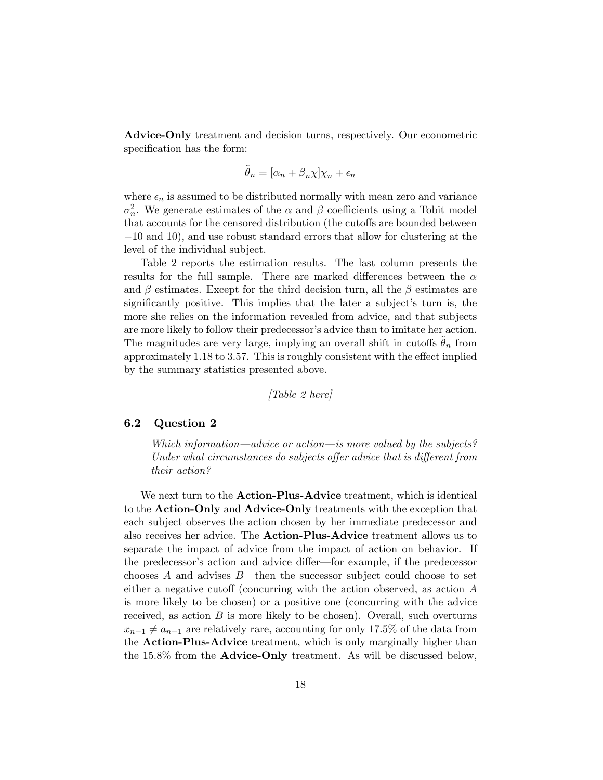Advice-Only treatment and decision turns, respectively. Our econometric specification has the form:

$$
\tilde{\theta}_n = [\alpha_n + \beta_n \chi] \chi_n + \epsilon_n
$$

where  $\epsilon_n$  is assumed to be distributed normally with mean zero and variance  $\sigma_n^2$ . We generate estimates of the  $\alpha$  and  $\beta$  coefficients using a Tobit model that accounts for the censored distribution (the cutoffs are bounded between −10 and 10), and use robust standard errors that allow for clustering at the level of the individual subject.

Table 2 reports the estimation results. The last column presents the results for the full sample. There are marked differences between the  $\alpha$ and  $\beta$  estimates. Except for the third decision turn, all the  $\beta$  estimates are significantly positive. This implies that the later a subject's turn is, the more she relies on the information revealed from advice, and that subjects are more likely to follow their predecessor's advice than to imitate her action. The magnitudes are very large, implying an overall shift in cutoffs  $\tilde{\theta}_n$  from approximately  $1.18$  to  $3.57$ . This is roughly consistent with the effect implied by the summary statistics presented above.

#### [Table 2 here]

#### 6.2 Question 2

Which information—advice or action—is more valued by the subjects? Under what circumstances do subjects offer advice that is different from their action?

We next turn to the **Action-Plus-Advice** treatment, which is identical to the **Action-Only** and **Advice-Only** treatments with the exception that each subject observes the action chosen by her immediate predecessor and also receives her advice. The Action-Plus-Advice treatment allows us to separate the impact of advice from the impact of action on behavior. If the predecessor's action and advice differ–for example, if the predecessor chooses  $A$  and advises  $B$ —then the successor subject could choose to set either a negative cutoff (concurring with the action observed, as action  $A$ is more likely to be chosen) or a positive one (concurring with the advice received, as action  $B$  is more likely to be chosen). Overall, such overturns  $x_{n-1} \neq a_{n-1}$  are relatively rare, accounting for only 17.5% of the data from the **Action-Plus-Advice** treatment, which is only marginally higher than the  $15.8\%$  from the **Advice-Only** treatment. As will be discussed below,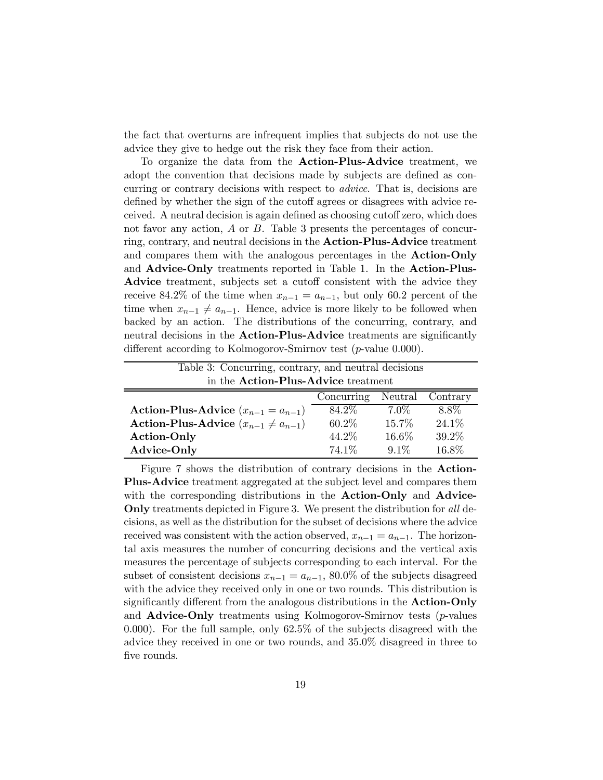the fact that overturns are infrequent implies that subjects do not use the advice they give to hedge out the risk they face from their action.

To organize the data from the Action-Plus-Advice treatment, we adopt the convention that decisions made by subjects are defined as concurring or contrary decisions with respect to advice. That is, decisions are defined by whether the sign of the cutoff agrees or disagrees with advice received. A neutral decision is again defined as choosing cutoff zero, which does not favor any action,  $A$  or  $B$ . Table 3 presents the percentages of concurring, contrary, and neutral decisions in the **Action-Plus-Advice** treatment and compares them with the analogous percentages in the Action-Only and Advice-Only treatments reported in Table 1. In the Action-Plus-Advice treatment, subjects set a cutoff consistent with the advice they receive 84.2% of the time when  $x_{n-1} = a_{n-1}$ , but only 60.2 percent of the time when  $x_{n-1} \neq a_{n-1}$ . Hence, advice is more likely to be followed when backed by an action. The distributions of the concurring, contrary, and neutral decisions in the **Action-Plus-Advice** treatments are significantly different according to Kolmogorov-Smirnov test  $(p$ -value 0.000).

| Table 3: Concurring, contrary, and neutral decisions |          |         |       |  |
|------------------------------------------------------|----------|---------|-------|--|
| in the <b>Action-Plus-Advice</b> treatment           |          |         |       |  |
| Neutral Contrary<br>Concurring                       |          |         |       |  |
| Action-Plus-Advice $(x_{n-1} = a_{n-1})$             | 84.2\%   | $7.0\%$ | 8.8%  |  |
| <b>Action-Plus-Advice</b> $(x_{n-1} \neq a_{n-1})$   | $60.2\%$ | 15.7%   | 24.1% |  |
| <b>Action-Only</b>                                   | 44.2%    | 16.6%   | 39.2% |  |
| Advice-Only                                          | 74.1\%   | $91\%$  | 16.8% |  |

Figure 7 shows the distribution of contrary decisions in the Action-Plus-Advice treatment aggregated at the subject level and compares them with the corresponding distributions in the **Action-Only** and **Advice-Only** treatments depicted in Figure 3. We present the distribution for all decisions, as well as the distribution for the subset of decisions where the advice received was consistent with the action observed,  $x_{n-1} = a_{n-1}$ . The horizontal axis measures the number of concurring decisions and the vertical axis measures the percentage of subjects corresponding to each interval. For the subset of consistent decisions  $x_{n-1} = a_{n-1}$ , 80.0% of the subjects disagreed with the advice they received only in one or two rounds. This distribution is significantly different from the analogous distributions in the Action-Only and Advice-Only treatments using Kolmogorov-Smirnov tests  $(p$ -values 0.000). For the full sample, only 62.5% of the subjects disagreed with the advice they received in one or two rounds, and 35.0% disagreed in three to five rounds.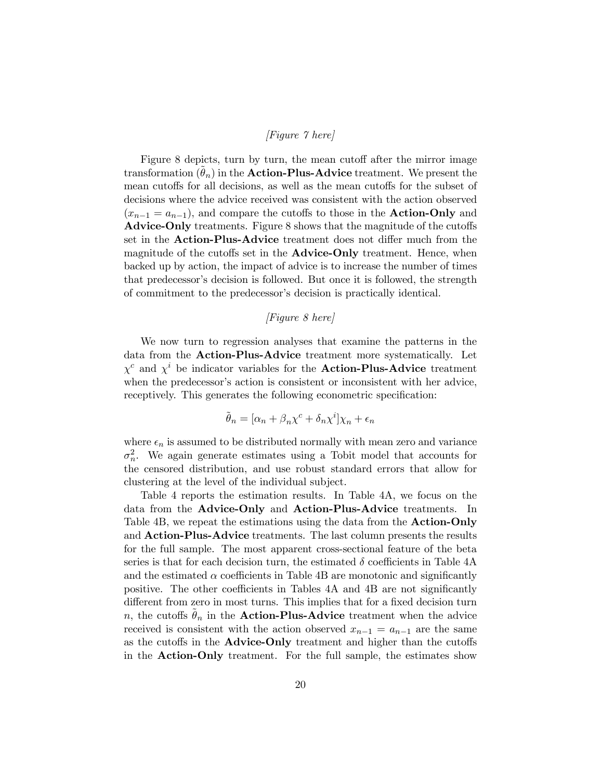#### [Figure 7 here]

Figure 8 depicts, turn by turn, the mean cutoff after the mirror image transformation  $(\theta_n)$  in the **Action-Plus-Advice** treatment. We present the mean cutoffs for all decisions, as well as the mean cutoffs for the subset of decisions where the advice received was consistent with the action observed  $(x_{n-1} = a_{n-1})$ , and compare the cutoffs to those in the **Action-Only** and Advice-Only treatments. Figure 8 shows that the magnitude of the cutoffs set in the Action-Plus-Advice treatment does not differ much from the magnitude of the cutoffs set in the **Advice-Only** treatment. Hence, when backed up by action, the impact of advice is to increase the number of times that predecessor's decision is followed. But once it is followed, the strength of commitment to the predecessor's decision is practically identical.

## [Figure 8 here]

We now turn to regression analyses that examine the patterns in the data from the Action-Plus-Advice treatment more systematically. Let  $\chi^c$  and  $\chi^i$  be indicator variables for the **Action-Plus-Advice** treatment when the predecessor's action is consistent or inconsistent with her advice, receptively. This generates the following econometric specification:

$$
\tilde{\theta}_n = [\alpha_n + \beta_n \chi^c + \delta_n \chi^i] \chi_n + \epsilon_n
$$

where  $\epsilon_n$  is assumed to be distributed normally with mean zero and variance  $\sigma_n^2$ . We again generate estimates using a Tobit model that accounts for the censored distribution, and use robust standard errors that allow for clustering at the level of the individual subject.

Table 4 reports the estimation results. In Table 4A, we focus on the data from the Advice-Only and Action-Plus-Advice treatments. In Table 4B, we repeat the estimations using the data from the Action-Only and Action-Plus-Advice treatments. The last column presents the results for the full sample. The most apparent cross-sectional feature of the beta series is that for each decision turn, the estimated  $\delta$  coefficients in Table 4A and the estimated  $\alpha$  coefficients in Table 4B are monotonic and significantly positive. The other coefficients in Tables 4A and 4B are not significantly different from zero in most turns. This implies that for a fixed decision turn n, the cutoffs  $\theta_n$  in the **Action-Plus-Advice** treatment when the advice received is consistent with the action observed  $x_{n-1} = a_{n-1}$  are the same as the cutoffs in the Advice-Only treatment and higher than the cutoffs in the Action-Only treatment. For the full sample, the estimates show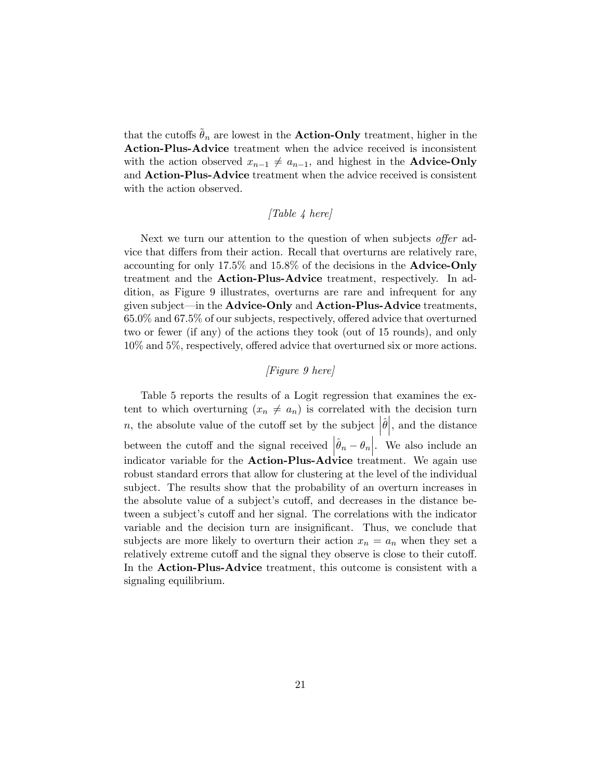that the cutoffs  $\hat{\theta}_n$  are lowest in the **Action-Only** treatment, higher in the Action-Plus-Advice treatment when the advice received is inconsistent with the action observed  $x_{n-1} \neq a_{n-1}$ , and highest in the **Advice-Only** and Action-Plus-Advice treatment when the advice received is consistent with the action observed.

## $[Table 4 here]$

Next we turn our attention to the question of when subjects offer advice that differs from their action. Recall that overturns are relatively rare, accounting for only 17.5% and 15.8% of the decisions in the **Advice-Only** treatment and the Action-Plus-Advice treatment, respectively. In addition, as Figure 9 illustrates, overturns are rare and infrequent for any given subject–in the Advice-Only and Action-Plus-Advice treatments, 65.0% and 67.5% of our subjects, respectively, offered advice that overturned two or fewer (if any) of the actions they took (out of 15 rounds), and only 10% and 5%, respectively, offered advice that overturned six or more actions.

## [Figure 9 here]

Table 5 reports the results of a Logit regression that examines the extent to which overturning  $(x_n \neq a_n)$  is correlated with the decision turn *n*, the absolute value of the cutoff set by the subject  $|\hat{\theta}|$ , and the distance between the cutoff and the signal received  $\left|\hat{\theta}_n - \theta_n\right|$ . We also include an indicator variable for the **Action-Plus-Advice** treatment. We again use robust standard errors that allow for clustering at the level of the individual subject. The results show that the probability of an overturn increases in the absolute value of a subject's cutoff, and decreases in the distance between a subject's cutoff and her signal. The correlations with the indicator variable and the decision turn are insignificant. Thus, we conclude that subjects are more likely to overturn their action  $x_n = a_n$  when they set a relatively extreme cutoff and the signal they observe is close to their cutoff. In the Action-Plus-Advice treatment, this outcome is consistent with a signaling equilibrium.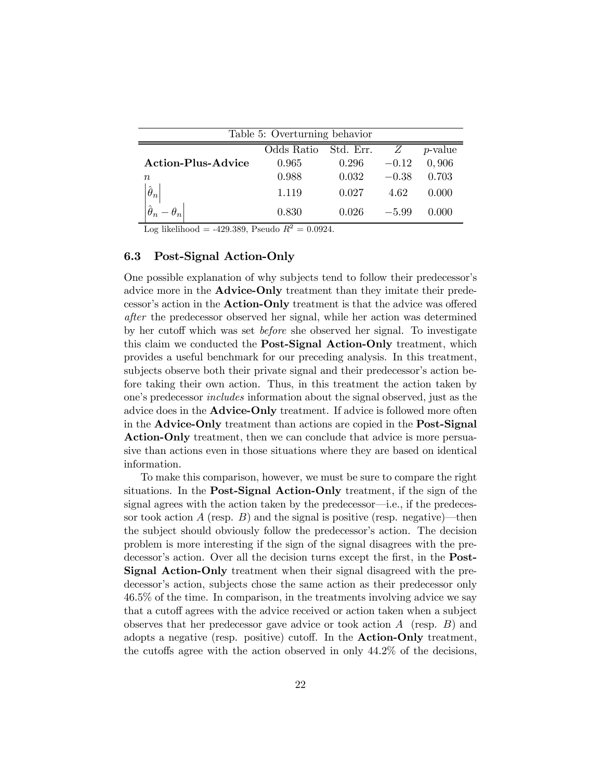| Table 5: Overturning behavior |            |           |         |            |
|-------------------------------|------------|-----------|---------|------------|
|                               | Odds Ratio | Std. Err. |         | $p$ -value |
| Action-Plus-Advice            | 0.965      | 0.296     | $-0.12$ | 0,906      |
| $\, n$                        | 0.988      | 0.032     | $-0.38$ | 0.703      |
| $\hat{\theta}_n$              | 1.119      | 0.027     | 4.62    | 0.000      |
| $\theta_n$                    | 0.830      | 0.026     | $-5.99$ | 0.000      |

Log likelihood = -429.389, Pseudo  $R^2 = 0.0924$ .

### 6.3 Post-Signal Action-Only

One possible explanation of why subjects tend to follow their predecessor's advice more in the Advice-Only treatment than they imitate their predecessor's action in the **Action-Only** treatment is that the advice was offered after the predecessor observed her signal, while her action was determined by her cutoff which was set before she observed her signal. To investigate this claim we conducted the **Post-Signal Action-Only** treatment, which provides a useful benchmark for our preceding analysis. In this treatment, subjects observe both their private signal and their predecessor's action before taking their own action. Thus, in this treatment the action taken by one's predecessor includes information about the signal observed, just as the advice does in the **Advice-Only** treatment. If advice is followed more often in the Advice-Only treatment than actions are copied in the Post-Signal Action-Only treatment, then we can conclude that advice is more persuasive than actions even in those situations where they are based on identical information.

To make this comparison, however, we must be sure to compare the right situations. In the Post-Signal Action-Only treatment, if the sign of the signal agrees with the action taken by the predecessor–i.e., if the predecessor took action  $A$  (resp.  $B$ ) and the signal is positive (resp. negative)—then the subject should obviously follow the predecessor's action. The decision problem is more interesting if the sign of the signal disagrees with the predecessor's action. Over all the decision turns except the first, in the **Post-**Signal Action-Only treatment when their signal disagreed with the predecessor's action, subjects chose the same action as their predecessor only 46.5% of the time. In comparison, in the treatments involving advice we say that a cutoff agrees with the advice received or action taken when a subject observes that her predecessor gave advice or took action  $A$  (resp.  $B$ ) and adopts a negative (resp. positive) cutoff. In the Action-Only treatment, the cutoffs agree with the action observed in only 44.2% of the decisions,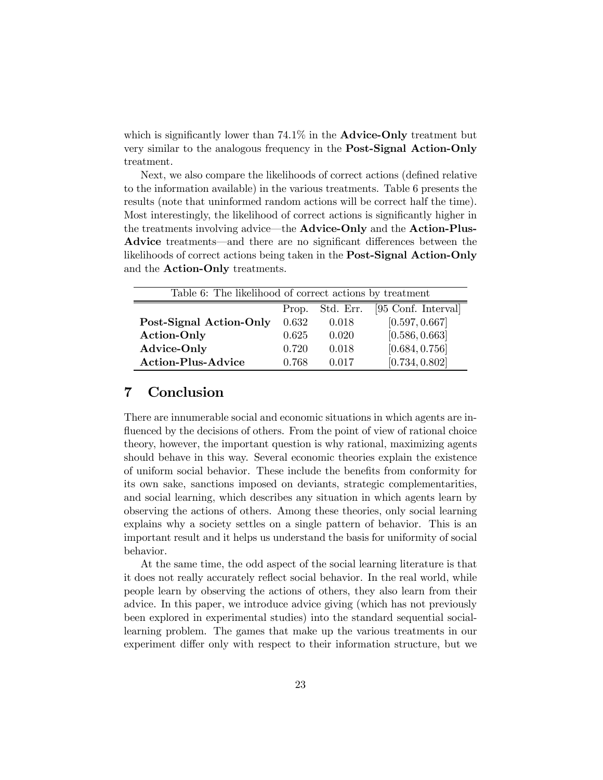which is significantly lower than  $74.1\%$  in the **Advice-Only** treatment but very similar to the analogous frequency in the Post-Signal Action-Only treatment.

Next, we also compare the likelihoods of correct actions (defined relative to the information available) in the various treatments. Table 6 presents the results (note that uninformed random actions will be correct half the time). Most interestingly, the likelihood of correct actions is significantly higher in the treatments involving advice—the **Advice-Only** and the **Action-Plus-**Advice treatments–and there are no significant differences between the likelihoods of correct actions being taken in the Post-Signal Action-Only and the Action-Only treatments.

| Table 6: The likelihood of correct actions by treatment |       |           |                     |
|---------------------------------------------------------|-------|-----------|---------------------|
|                                                         | Prop. | Std. Err. | [95 Conf. Interval] |
| Post-Signal Action-Only                                 | 0.632 | 0.018     | [0.597, 0.667]      |
| <b>Action-Only</b>                                      | 0.625 | 0.020     | [0.586, 0.663]      |
| Advice-Only                                             | 0.720 | 0.018     | [0.684, 0.756]      |
| <b>Action-Plus-Advice</b>                               | 0.768 | 0.017     | [0.734, 0.802]      |

## 7 Conclusion

There are innumerable social and economic situations in which agents are influenced by the decisions of others. From the point of view of rational choice theory, however, the important question is why rational, maximizing agents should behave in this way. Several economic theories explain the existence of uniform social behavior. These include the benefits from conformity for its own sake, sanctions imposed on deviants, strategic complementarities, and social learning, which describes any situation in which agents learn by observing the actions of others. Among these theories, only social learning explains why a society settles on a single pattern of behavior. This is an important result and it helps us understand the basis for uniformity of social behavior.

At the same time, the odd aspect of the social learning literature is that it does not really accurately reflect social behavior. In the real world, while people learn by observing the actions of others, they also learn from their advice. In this paper, we introduce advice giving (which has not previously been explored in experimental studies) into the standard sequential sociallearning problem. The games that make up the various treatments in our experiment differ only with respect to their information structure, but we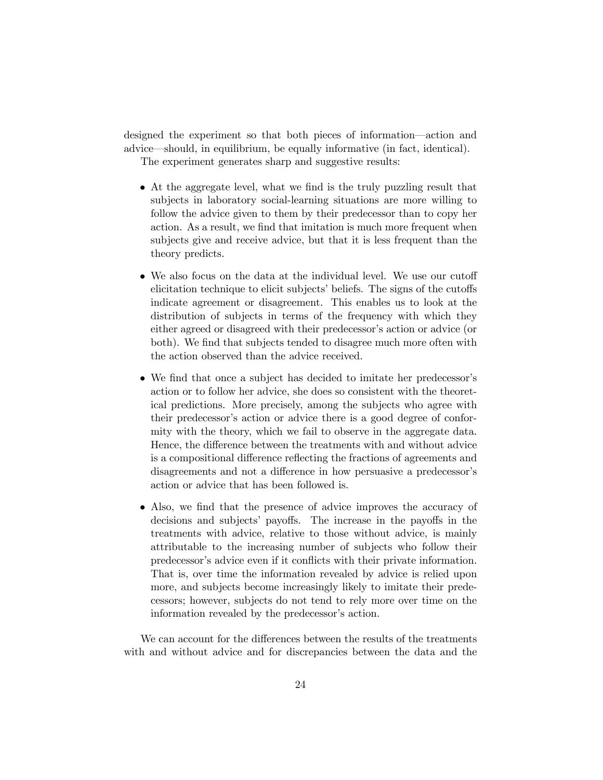designed the experiment so that both pieces of information–action and advice–should, in equilibrium, be equally informative (in fact, identical).

The experiment generates sharp and suggestive results:

- At the aggregate level, what we find is the truly puzzling result that subjects in laboratory social-learning situations are more willing to follow the advice given to them by their predecessor than to copy her action. As a result, we find that imitation is much more frequent when subjects give and receive advice, but that it is less frequent than the theory predicts.
- We also focus on the data at the individual level. We use our cutoff elicitation technique to elicit subjects' beliefs. The signs of the cutoffs indicate agreement or disagreement. This enables us to look at the distribution of subjects in terms of the frequency with which they either agreed or disagreed with their predecessor's action or advice (or both). We find that subjects tended to disagree much more often with the action observed than the advice received.
- We find that once a subject has decided to imitate her predecessor's action or to follow her advice, she does so consistent with the theoretical predictions. More precisely, among the subjects who agree with their predecessor's action or advice there is a good degree of conformity with the theory, which we fail to observe in the aggregate data. Hence, the difference between the treatments with and without advice is a compositional difference reflecting the fractions of agreements and disagreements and not a difference in how persuasive a predecessor's action or advice that has been followed is.
- Also, we find that the presence of advice improves the accuracy of decisions and subjects' payoffs. The increase in the payoffs in the treatments with advice, relative to those without advice, is mainly attributable to the increasing number of subjects who follow their predecessor's advice even if it conflicts with their private information. That is, over time the information revealed by advice is relied upon more, and subjects become increasingly likely to imitate their predecessors; however, subjects do not tend to rely more over time on the information revealed by the predecessor's action.

We can account for the differences between the results of the treatments with and without advice and for discrepancies between the data and the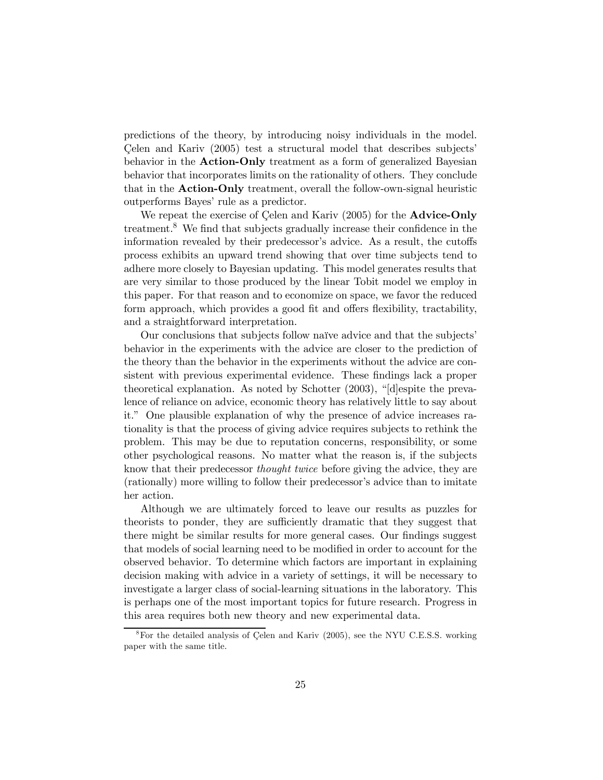predictions of the theory, by introducing noisy individuals in the model. Çelen and Kariv (2005) test a structural model that describes subjects' behavior in the Action-Only treatment as a form of generalized Bayesian behavior that incorporates limits on the rationality of others. They conclude that in the Action-Only treatment, overall the follow-own-signal heuristic outperforms Bayes' rule as a predictor.

We repeat the exercise of Celen and Kariv (2005) for the **Advice-Only** treatment.8 We find that subjects gradually increase their confidence in the information revealed by their predecessor's advice. As a result, the cutoffs process exhibits an upward trend showing that over time subjects tend to adhere more closely to Bayesian updating. This model generates results that are very similar to those produced by the linear Tobit model we employ in this paper. For that reason and to economize on space, we favor the reduced form approach, which provides a good fit and offers flexibility, tractability, and a straightforward interpretation.

Our conclusions that subjects follow naïve advice and that the subjects' behavior in the experiments with the advice are closer to the prediction of the theory than the behavior in the experiments without the advice are consistent with previous experimental evidence. These findings lack a proper theoretical explanation. As noted by Schotter (2003), "[d]espite the prevalence of reliance on advice, economic theory has relatively little to say about it." One plausible explanation of why the presence of advice increases rationality is that the process of giving advice requires subjects to rethink the problem. This may be due to reputation concerns, responsibility, or some other psychological reasons. No matter what the reason is, if the subjects know that their predecessor thought twice before giving the advice, they are (rationally) more willing to follow their predecessor's advice than to imitate her action.

Although we are ultimately forced to leave our results as puzzles for theorists to ponder, they are sufficiently dramatic that they suggest that there might be similar results for more general cases. Our findings suggest that models of social learning need to be modified in order to account for the observed behavior. To determine which factors are important in explaining decision making with advice in a variety of settings, it will be necessary to investigate a larger class of social-learning situations in the laboratory. This is perhaps one of the most important topics for future research. Progress in this area requires both new theory and new experimental data.

 $8$ For the detailed analysis of Celen and Kariv (2005), see the NYU C.E.S.S. working paper with the same title.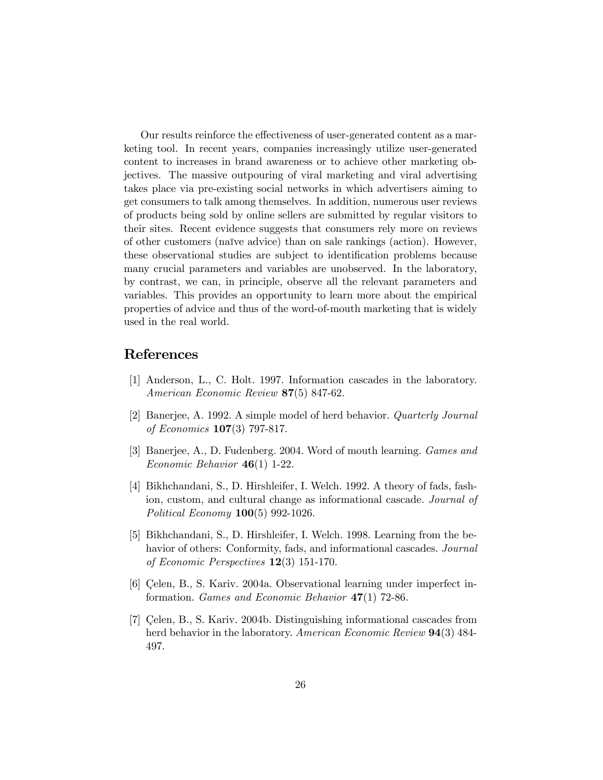Our results reinforce the effectiveness of user-generated content as a marketing tool. In recent years, companies increasingly utilize user-generated content to increases in brand awareness or to achieve other marketing objectives. The massive outpouring of viral marketing and viral advertising takes place via pre-existing social networks in which advertisers aiming to get consumers to talk among themselves. In addition, numerous user reviews of products being sold by online sellers are submitted by regular visitors to their sites. Recent evidence suggests that consumers rely more on reviews of other customers (naïve advice) than on sale rankings (action). However, these observational studies are subject to identification problems because many crucial parameters and variables are unobserved. In the laboratory, by contrast, we can, in principle, observe all the relevant parameters and variables. This provides an opportunity to learn more about the empirical properties of advice and thus of the word-of-mouth marketing that is widely used in the real world.

## References

- [1] Anderson, L., C. Holt. 1997. Information cascades in the laboratory. American Economic Review 87(5) 847-62.
- [2] Banerjee, A. 1992. A simple model of herd behavior. Quarterly Journal of Economics 107(3) 797-817.
- [3] Banerjee, A., D. Fudenberg. 2004. Word of mouth learning. Games and Economic Behavior  $46(1)$  1-22.
- [4] Bikhchandani, S., D. Hirshleifer, I. Welch. 1992. A theory of fads, fashion, custom, and cultural change as informational cascade. Journal of Political Economy 100(5) 992-1026.
- [5] Bikhchandani, S., D. Hirshleifer, I. Welch. 1998. Learning from the behavior of others: Conformity, fads, and informational cascades. Journal of Economic Perspectives 12(3) 151-170.
- [6] Çelen, B., S. Kariv. 2004a. Observational learning under imperfect information. Games and Economic Behavior 47(1) 72-86.
- [7] Çelen, B., S. Kariv. 2004b. Distinguishing informational cascades from herd behavior in the laboratory. American Economic Review **94**(3) 484-497.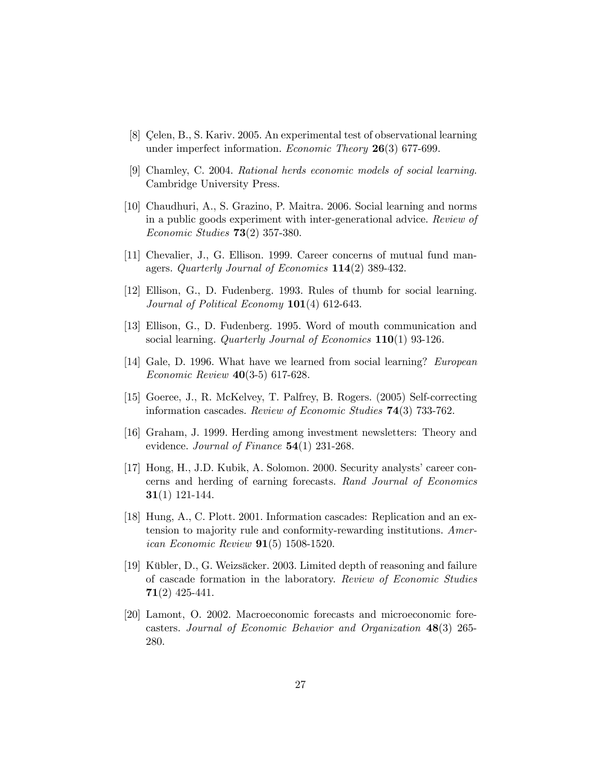- [8] Çelen, B., S. Kariv. 2005. An experimental test of observational learning under imperfect information. Economic Theory 26(3) 677-699.
- [9] Chamley, C. 2004. Rational herds economic models of social learning. Cambridge University Press.
- [10] Chaudhuri, A., S. Grazino, P. Maitra. 2006. Social learning and norms in a public goods experiment with inter-generational advice. Review of Economic Studies  $73(2)$  357-380.
- [11] Chevalier, J., G. Ellison. 1999. Career concerns of mutual fund managers. Quarterly Journal of Economics 114(2) 389-432.
- [12] Ellison, G., D. Fudenberg. 1993. Rules of thumb for social learning. Journal of Political Economy **101**(4) 612-643.
- [13] Ellison, G., D. Fudenberg. 1995. Word of mouth communication and social learning. Quarterly Journal of Economics 110(1) 93-126.
- [14] Gale, D. 1996. What have we learned from social learning? European Economic Review 40(3-5) 617-628.
- [15] Goeree, J., R. McKelvey, T. Palfrey, B. Rogers. (2005) Self-correcting information cascades. Review of Economic Studies 74(3) 733-762.
- [16] Graham, J. 1999. Herding among investment newsletters: Theory and evidence. Journal of Finance 54(1) 231-268.
- [17] Hong, H., J.D. Kubik, A. Solomon. 2000. Security analysts' career concerns and herding of earning forecasts. Rand Journal of Economics  $31(1)$  121-144.
- [18] Hung, A., C. Plott. 2001. Information cascades: Replication and an extension to majority rule and conformity-rewarding institutions. American Economic Review 91(5) 1508-1520.
- [19] Kübler, D., G. Weizsäcker. 2003. Limited depth of reasoning and failure of cascade formation in the laboratory. Review of Economic Studies  $71(2)$  425-441.
- [20] Lamont, O. 2002. Macroeconomic forecasts and microeconomic forecasters. Journal of Economic Behavior and Organization 48(3) 265- 280.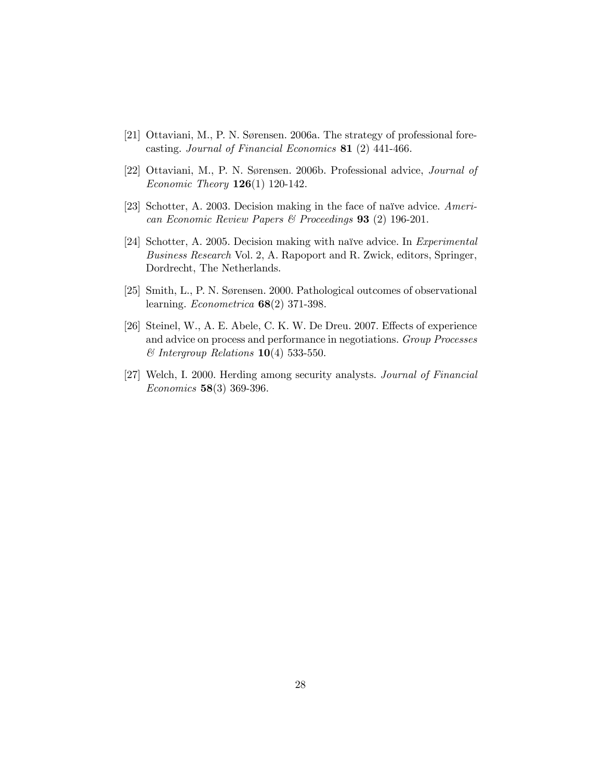- [21] Ottaviani, M., P. N. Sørensen. 2006a. The strategy of professional forecasting. Journal of Financial Economics 81 (2) 441-466.
- [22] Ottaviani, M., P. N. Sørensen. 2006b. Professional advice, Journal of *Economic Theory* **126**(1) 120-142.
- [23] Schotter, A. 2003. Decision making in the face of naïve advice. American Economic Review Papers & Proceedings 93 (2) 196-201.
- [24] Schotter, A. 2005. Decision making with naïve advice. In Experimental Business Research Vol. 2, A. Rapoport and R. Zwick, editors, Springer, Dordrecht, The Netherlands.
- [25] Smith, L., P. N. Sørensen. 2000. Pathological outcomes of observational learning. Econometrica 68(2) 371-398.
- [26] Steinel, W., A. E. Abele, C. K. W. De Dreu. 2007. Effects of experience and advice on process and performance in negotiations. Group Processes  $\mathcal{B}$  Intergroup Relations 10(4) 533-550.
- [27] Welch, I. 2000. Herding among security analysts. Journal of Financial Economics 58(3) 369-396.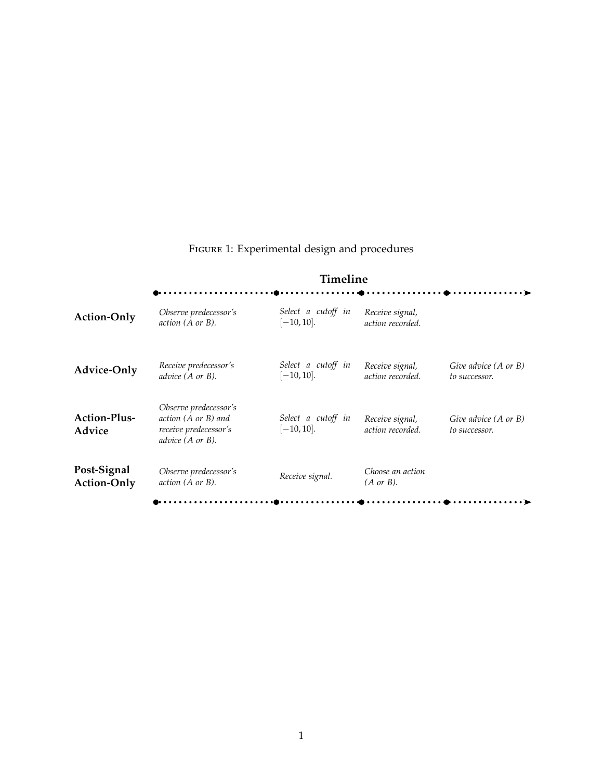|                                   | <b>Timeline</b>                                                                                                  |                                     |                                               |                                                  |  |
|-----------------------------------|------------------------------------------------------------------------------------------------------------------|-------------------------------------|-----------------------------------------------|--------------------------------------------------|--|
| <b>Action-Only</b>                | Observe predecessor's<br>action $(A \text{ or } B)$ .                                                            | Select a cutoff in<br>$[-10, 10]$ . | Receive signal,<br>action recorded.           |                                                  |  |
| Advice-Only                       | Receive predecessor's<br>advice $(A \text{ or } B)$ .                                                            | Select a cutoff in<br>$[-10, 10]$ . | Receive signal,<br>action recorded.           | Give advice $(A \text{ or } B)$<br>to successor. |  |
| <b>Action-Plus-</b><br>Advice     | Observe predecessor's<br>action $(A \text{ or } B)$ and<br>receive predecessor's<br>advice $(A \text{ or } B)$ . | Select a cutoff in<br>$[-10, 10]$ . | Receive signal,<br>action recorded.           | Give advice $(A \text{ or } B)$<br>to successor. |  |
| Post-Signal<br><b>Action-Only</b> | Observe predecessor's<br>action (A or B).                                                                        | Receive signal.                     | Choose an action<br>$(A \text{ or } B).$<br>. |                                                  |  |

## FIGURE 1: Experimental design and procedures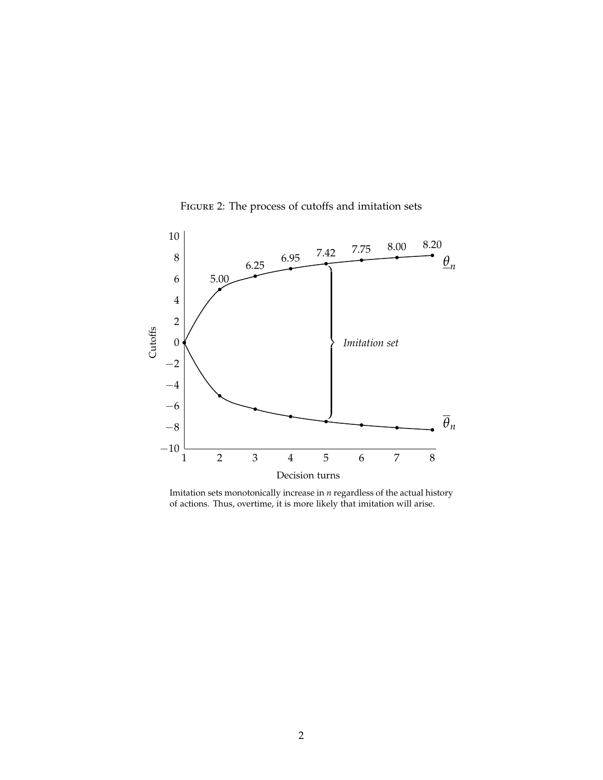

Figure 2: The process of cutoffs and imitation sets

Imitation sets monotonically increase in *n* regardless of the actual history of actions. Thus, overtime, it is more likely that imitation will arise.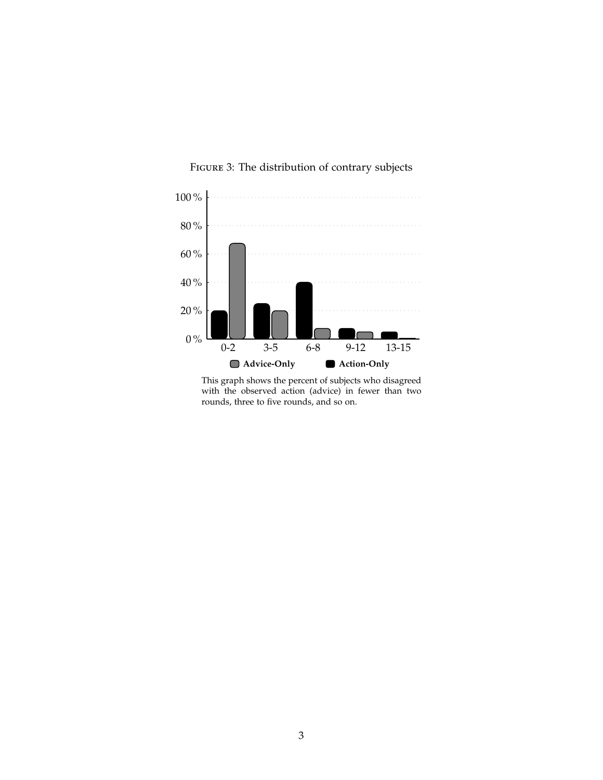

FIGURE 3: The distribution of contrary subjects

This graph shows the percent of subjects who disagreed with the observed action (advice) in fewer than two rounds, three to five rounds, and so on.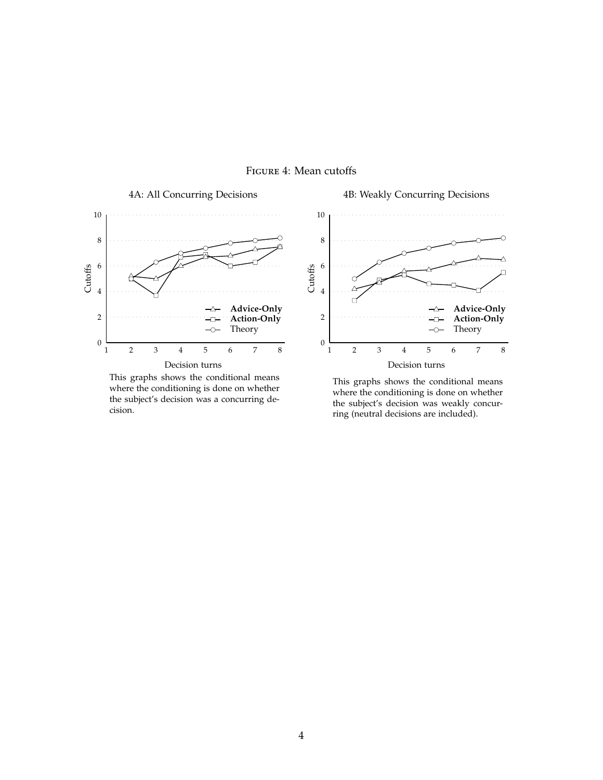

Figure 4: Mean cutoffs

This graphs shows the conditional means where the conditioning is done on whether the subject's decision was a concurring decision.



4B: Weakly Concurring Decisions

This graphs shows the conditional means where the conditioning is done on whether the subject's decision was weakly concurring (neutral decisions are included).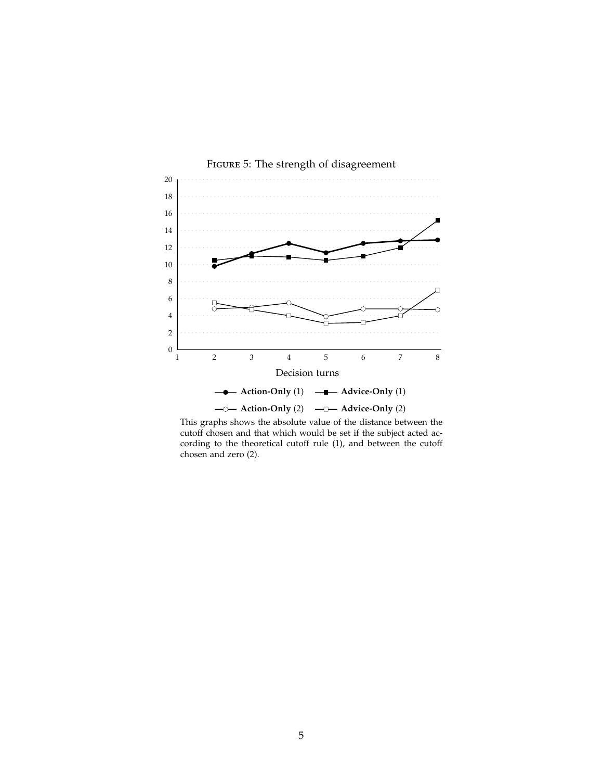

This graphs shows the absolute value of the distance between the cutoff chosen and that which would be set if the subject acted according to the theoretical cutoff rule (1), and between the cutoff chosen and zero (2).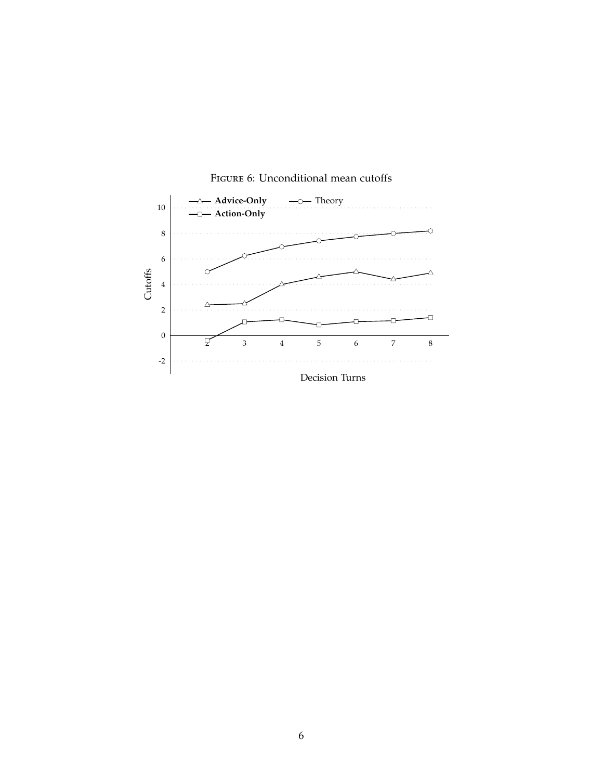

## FIGURE 6: Unconditional mean cutoffs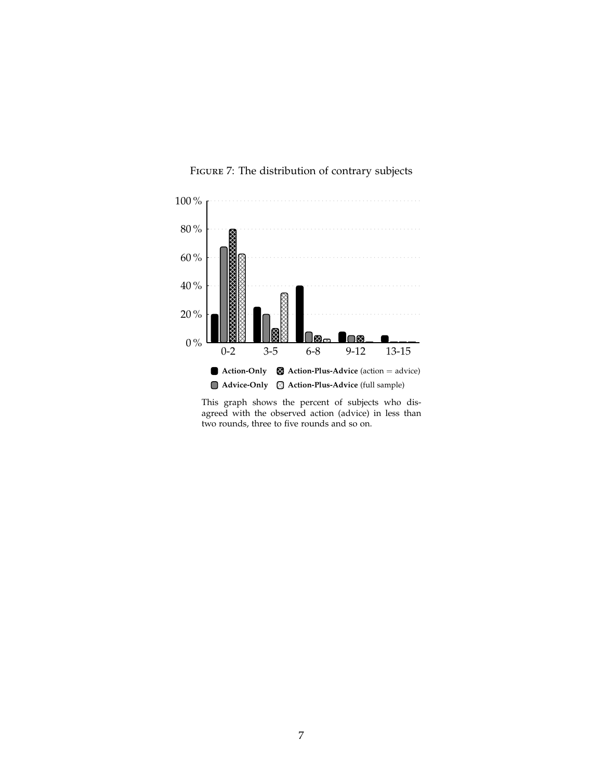

FIGURE 7: The distribution of contrary subjects

This graph shows the percent of subjects who disagreed with the observed action (advice) in less than two rounds, three to five rounds and so on.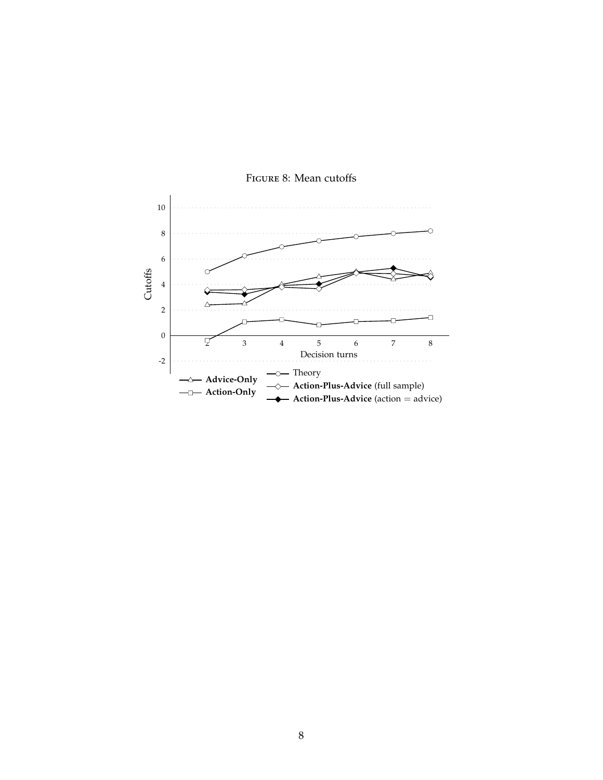

## FIGURE 8: Mean cutoffs